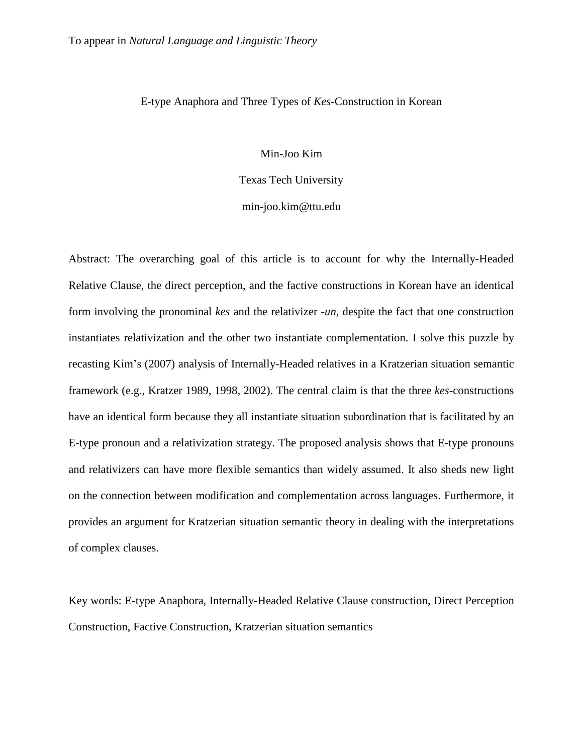# E-type Anaphora and Three Types of *Kes*-Construction in Korean

## Min-Joo Kim

Texas Tech University

## min-joo.kim@ttu.edu

Abstract: The overarching goal of this article is to account for why the Internally-Headed Relative Clause, the direct perception, and the factive constructions in Korean have an identical form involving the pronominal *kes* and the relativizer -*un*, despite the fact that one construction instantiates relativization and the other two instantiate complementation. I solve this puzzle by recasting Kim's (2007) analysis of Internally-Headed relatives in a Kratzerian situation semantic framework (e.g., Kratzer 1989, 1998, 2002). The central claim is that the three *kes*-constructions have an identical form because they all instantiate situation subordination that is facilitated by an E-type pronoun and a relativization strategy. The proposed analysis shows that E-type pronouns and relativizers can have more flexible semantics than widely assumed. It also sheds new light on the connection between modification and complementation across languages. Furthermore, it provides an argument for Kratzerian situation semantic theory in dealing with the interpretations of complex clauses.

Key words: E-type Anaphora, Internally-Headed Relative Clause construction, Direct Perception Construction, Factive Construction, Kratzerian situation semantics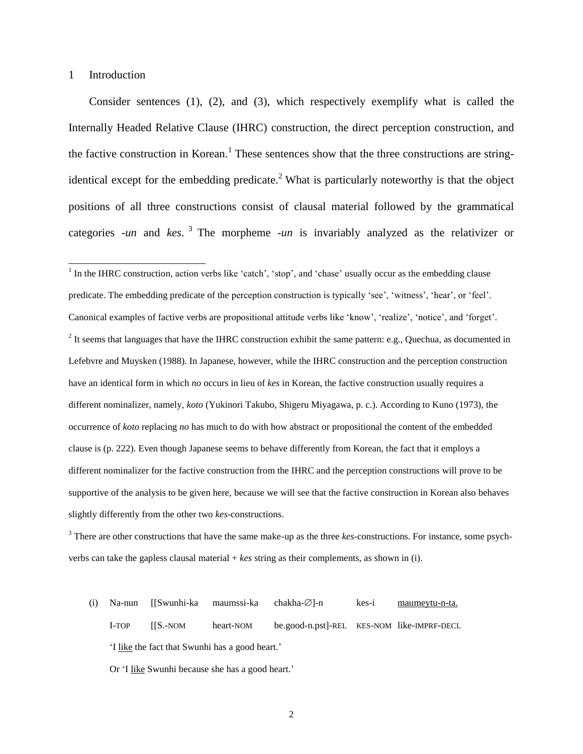## 1 Introduction

Consider sentences (1), (2), and (3), which respectively exemplify what is called the Internally Headed Relative Clause (IHRC) construction, the direct perception construction, and the factive construction in Korean.<sup>1</sup> These sentences show that the three constructions are stringidentical except for the embedding predicate.<sup>2</sup> What is particularly noteworthy is that the object positions of all three constructions consist of clausal material followed by the grammatical categories -*un* and *kes*. 3 The morpheme -*un* is invariably analyzed as the relativizer or

<sup>1</sup> In the IHRC construction, action verbs like 'catch', 'stop', and 'chase' usually occur as the embedding clause predicate. The embedding predicate of the perception construction is typically 'see', 'witness', 'hear', or 'feel'. Canonical examples of factive verbs are propositional attitude verbs like 'know', 'realize', 'notice', and 'forget'.  $2$  It seems that languages that have the IHRC construction exhibit the same pattern: e.g., Quechua, as documented in Lefebvre and Muysken (1988). In Japanese, however, while the IHRC construction and the perception construction have an identical form in which *no* occurs in lieu of *kes* in Korean, the factive construction usually requires a different nominalizer, namely, *koto* (Yukinori Takubo, Shigeru Miyagawa, p. c.). According to Kuno (1973), the occurrence of *koto* replacing *no* has much to do with how abstract or propositional the content of the embedded clause is (p. 222). Even though Japanese seems to behave differently from Korean, the fact that it employs a different nominalizer for the factive construction from the IHRC and the perception constructions will prove to be supportive of the analysis to be given here, because we will see that the factive construction in Korean also behaves slightly differently from the other two *kes*-constructions.

(i) Na-nun  $[[Swunhi-ka \text{maumssi-ka} \text{chakha-}\varnothing]-n$  kes-i maumeytu-n-ta. I-TOP [[S.-NOM heart-NOM be.good-n.pst]-REL KES-NOM like-IMPRF-DECL 'I like the fact that Swunhi has a good heart.' Or 'I like Swunhi because she has a good heart.'

<sup>3</sup> There are other constructions that have the same make-up as the three *kes*-constructions. For instance, some psychverbs can take the gapless clausal material + *kes* string as their complements, as shown in (i).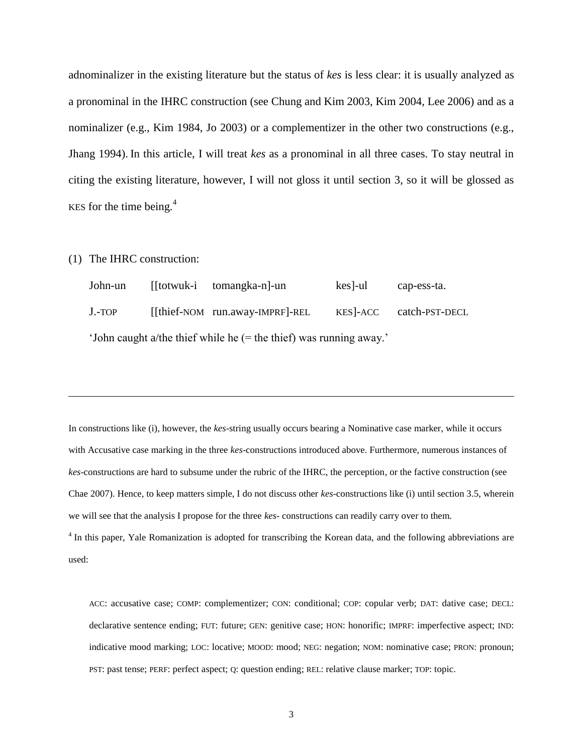adnominalizer in the existing literature but the status of *kes* is less clear: it is usually analyzed as a pronominal in the IHRC construction (see Chung and Kim 2003, Kim 2004, Lee 2006) and as a nominalizer (e.g., Kim 1984, Jo 2003) or a complementizer in the other two constructions (e.g., Jhang 1994). In this article, I will treat *kes* as a pronominal in all three cases. To stay neutral in citing the existing literature, however, I will not gloss it until section 3, so it will be glossed as KES for the time being. $4$ 

(1) The IHRC construction:

| John-un                                                            |  | [[totwuk-i tomangka-n]-un       | kes -ul | cap-ess-ta.    |  |  |
|--------------------------------------------------------------------|--|---------------------------------|---------|----------------|--|--|
| $J.-TOP$                                                           |  | [[thief-NOM run.away-IMPRF]-REL | KES-ACC | catch-PST-DECL |  |  |
| 'John caught a/the thief while he (= the thief) was running away.' |  |                                 |         |                |  |  |

In constructions like (i), however, the *kes*-string usually occurs bearing a Nominative case marker, while it occurs with Accusative case marking in the three *kes*-constructions introduced above. Furthermore, numerous instances of *kes*-constructions are hard to subsume under the rubric of the IHRC, the perception, or the factive construction (see Chae 2007). Hence, to keep matters simple, I do not discuss other *kes*-constructions like (i) until section 3.5, wherein we will see that the analysis I propose for the three *kes-* constructions can readily carry over to them. <sup>4</sup> In this paper, Yale Romanization is adopted for transcribing the Korean data, and the following abbreviations are

used:

 $\overline{a}$ 

ACC: accusative case; COMP: complementizer; CON: conditional; COP: copular verb; DAT: dative case; DECL: declarative sentence ending; FUT: future; GEN: genitive case; HON: honorific; IMPRF: imperfective aspect; IND: indicative mood marking; LOC: locative; MOOD: mood; NEG: negation; NOM: nominative case; PRON: pronoun; PST: past tense; PERF: perfect aspect; Q: question ending; REL: relative clause marker; TOP: topic.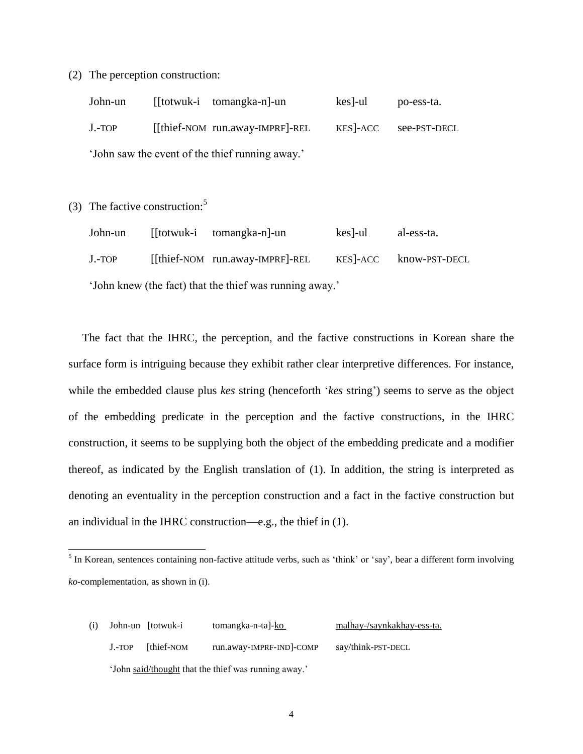(2) The perception construction:

| John-un                                         |  | [[totwuk-i tomangka-n]-un       | kes]-ul   | po-ess-ta.   |  |  |
|-------------------------------------------------|--|---------------------------------|-----------|--------------|--|--|
| $J.-TOP$                                        |  | [[thief-NOM run.away-IMPRF]-REL | KES - ACC | see-PST-DECL |  |  |
| 'John saw the event of the thief running away.' |  |                                 |           |              |  |  |

(3) The factive construction:<sup>5</sup>

 $\overline{a}$ 

| John-un                                                 |  | [[totwuk-i tomangka-n]-un       | kes -ul   | al-ess-ta.    |  |  |
|---------------------------------------------------------|--|---------------------------------|-----------|---------------|--|--|
| $J.-TOP$                                                |  | [[thief-NOM run.away-IMPRF]-REL | KES - ACC | know-PST-DECL |  |  |
| 'John knew (the fact) that the thief was running away.' |  |                                 |           |               |  |  |

The fact that the IHRC, the perception, and the factive constructions in Korean share the surface form is intriguing because they exhibit rather clear interpretive differences. For instance, while the embedded clause plus *kes* string (henceforth '*kes* string') seems to serve as the object of the embedding predicate in the perception and the factive constructions, in the IHRC construction, it seems to be supplying both the object of the embedding predicate and a modifier thereof, as indicated by the English translation of (1). In addition, the string is interpreted as denoting an eventuality in the perception construction and a fact in the factive construction but an individual in the IHRC construction—e.g., the thief in (1).

(i) John-un [totwuk-i tomangka-n-ta]-ko malhay-/saynkakhay-ess-ta. J.-TOP [thief-NOM run.away-IMPRF-IND]-COMP say/think-PST-DECL 'John said/thought that the thief was running away.'

 $<sup>5</sup>$  In Korean, sentences containing non-factive attitude verbs, such as 'think' or 'say', bear a different form involving</sup> *ko*-complementation, as shown in (i).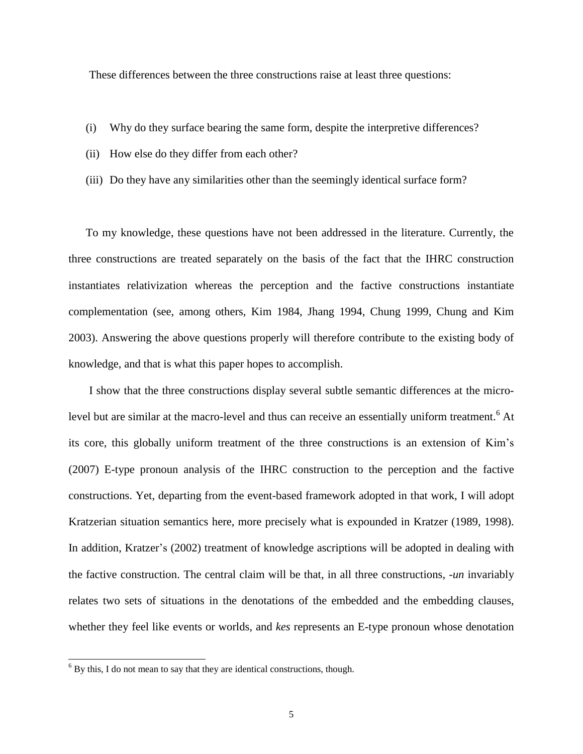These differences between the three constructions raise at least three questions:

- (i) Why do they surface bearing the same form, despite the interpretive differences?
- (ii) How else do they differ from each other?
- (iii) Do they have any similarities other than the seemingly identical surface form?

To my knowledge, these questions have not been addressed in the literature. Currently, the three constructions are treated separately on the basis of the fact that the IHRC construction instantiates relativization whereas the perception and the factive constructions instantiate complementation (see, among others, Kim 1984, Jhang 1994, Chung 1999, Chung and Kim 2003). Answering the above questions properly will therefore contribute to the existing body of knowledge, and that is what this paper hopes to accomplish.

I show that the three constructions display several subtle semantic differences at the microlevel but are similar at the macro-level and thus can receive an essentially uniform treatment.<sup>6</sup> At its core, this globally uniform treatment of the three constructions is an extension of Kim's (2007) E-type pronoun analysis of the IHRC construction to the perception and the factive constructions. Yet, departing from the event-based framework adopted in that work, I will adopt Kratzerian situation semantics here, more precisely what is expounded in Kratzer (1989, 1998). In addition, Kratzer's (2002) treatment of knowledge ascriptions will be adopted in dealing with the factive construction. The central claim will be that, in all three constructions, -*un* invariably relates two sets of situations in the denotations of the embedded and the embedding clauses, whether they feel like events or worlds, and *kes* represents an E-type pronoun whose denotation

 $6$  By this, I do not mean to say that they are identical constructions, though.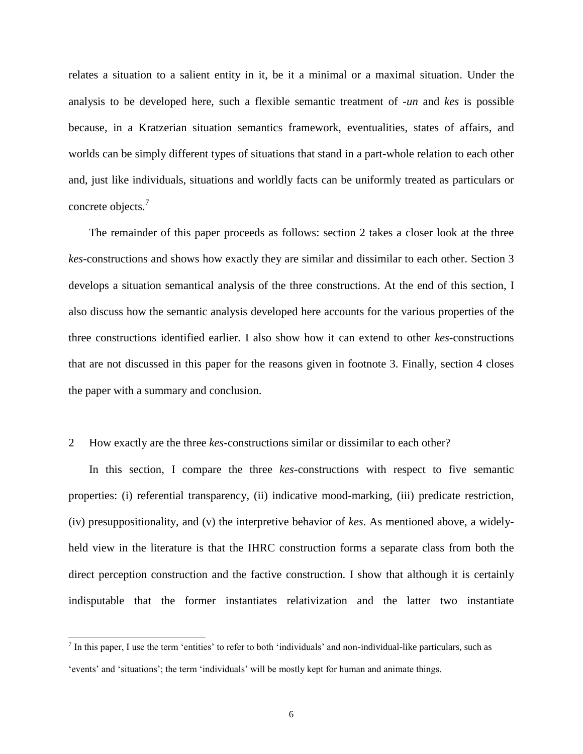relates a situation to a salient entity in it, be it a minimal or a maximal situation. Under the analysis to be developed here, such a flexible semantic treatment of -*un* and *kes* is possible because, in a Kratzerian situation semantics framework, eventualities, states of affairs, and worlds can be simply different types of situations that stand in a part-whole relation to each other and, just like individuals, situations and worldly facts can be uniformly treated as particulars or concrete objects.<sup>7</sup>

The remainder of this paper proceeds as follows: section 2 takes a closer look at the three *kes*-constructions and shows how exactly they are similar and dissimilar to each other. Section 3 develops a situation semantical analysis of the three constructions. At the end of this section, I also discuss how the semantic analysis developed here accounts for the various properties of the three constructions identified earlier. I also show how it can extend to other *kes*-constructions that are not discussed in this paper for the reasons given in footnote 3. Finally, section 4 closes the paper with a summary and conclusion.

#### 2 How exactly are the three *kes*-constructions similar or dissimilar to each other?

In this section, I compare the three *kes*-constructions with respect to five semantic properties: (i) referential transparency, (ii) indicative mood-marking, (iii) predicate restriction, (iv) presuppositionality, and (v) the interpretive behavior of *kes*. As mentioned above, a widelyheld view in the literature is that the IHRC construction forms a separate class from both the direct perception construction and the factive construction. I show that although it is certainly indisputable that the former instantiates relativization and the latter two instantiate

 $^7$  In this paper, I use the term 'entities' to refer to both 'individuals' and non-individual-like particulars, such as 'events' and 'situations'; the term 'individuals' will be mostly kept for human and animate things.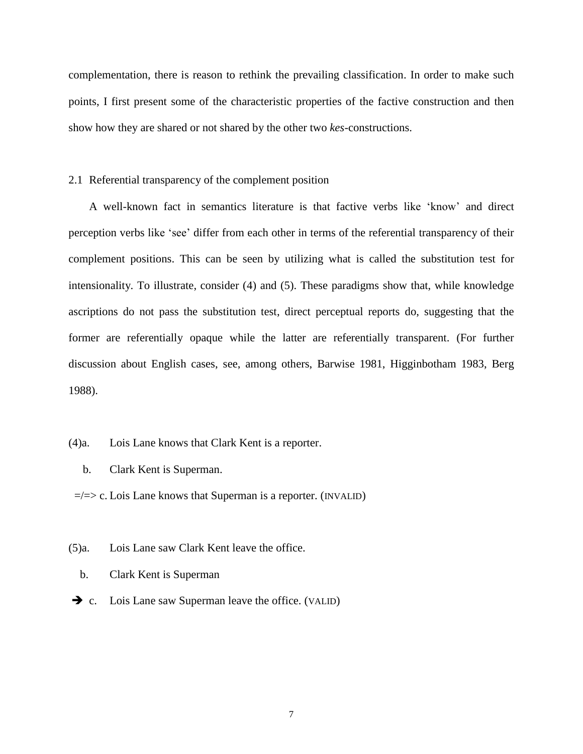complementation, there is reason to rethink the prevailing classification. In order to make such points, I first present some of the characteristic properties of the factive construction and then show how they are shared or not shared by the other two *kes*-constructions.

## 2.1 Referential transparency of the complement position

A well-known fact in semantics literature is that factive verbs like 'know' and direct perception verbs like 'see' differ from each other in terms of the referential transparency of their complement positions. This can be seen by utilizing what is called the substitution test for intensionality. To illustrate, consider (4) and (5). These paradigms show that, while knowledge ascriptions do not pass the substitution test, direct perceptual reports do, suggesting that the former are referentially opaque while the latter are referentially transparent. (For further discussion about English cases, see, among others, Barwise 1981, Higginbotham 1983, Berg 1988).

## (4)a. Lois Lane knows that Clark Kent is a reporter.

- b. Clark Kent is Superman.
- $\equiv$ / $\equiv$ > c. Lois Lane knows that Superman is a reporter. (INVALID)
- (5)a. Lois Lane saw Clark Kent leave the office.
	- b. Clark Kent is Superman
- $\rightarrow$  c. Lois Lane saw Superman leave the office. (VALID)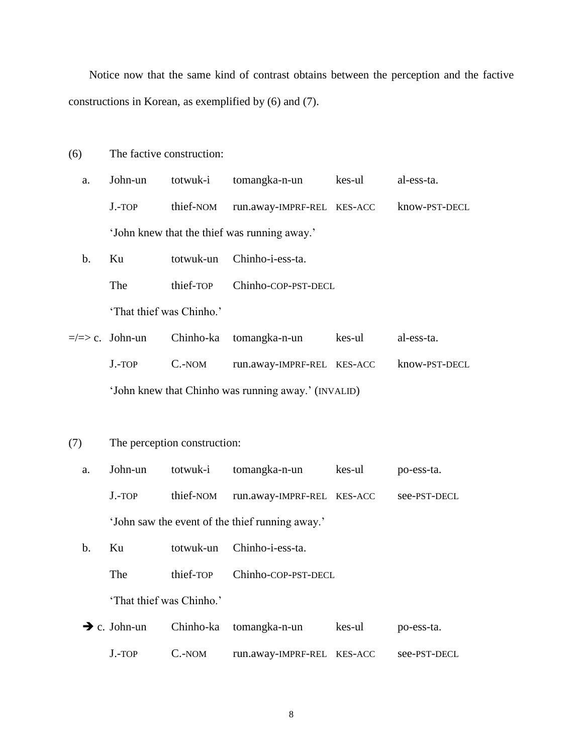Notice now that the same kind of contrast obtains between the perception and the factive constructions in Korean, as exemplified by (6) and (7).

- (6) The factive construction:
	- a. John-un totwuk-i tomangka-n-un kes-ul al-ess-ta. J.-TOP thief-NOM run.away-IMPRF-REL KES-ACC know-PST-DECL 'John knew that the thief was running away.'
	- b. Ku totwuk-un Chinho-i-ess-ta. The thief-TOP Chinho-COP-PST-DECL 'That thief was Chinho.'
- $\Rightarrow$  c. John-un Chinho-ka tomangka-n-un kes-ul al-ess-ta. J.-TOP C.-NOM run.away-IMPRF-REL KES-ACC know-PST-DECL 'John knew that Chinho was running away.' (INVALID)
- (7) The perception construction:
	- a. John-un totwuk-i tomangka-n-un kes-ul po-ess-ta. J.-TOP thief-NOM run.away-IMPRF-REL KES-ACC see-PST-DECL 'John saw the event of the thief running away.'
	- b. Ku totwuk-un Chinho-i-ess-ta.
		- The thief-TOP Chinho-COP-PST-DECL

'That thief was Chinho.'

| $\rightarrow$ c. John-un |        | Chinho-ka tomangka-n-un    | kes-ul | po-ess-ta.   |
|--------------------------|--------|----------------------------|--------|--------------|
| $J.-TOP$                 | C.-NOM | run.away-IMPRF-REL KES-ACC |        | see-PST-DECL |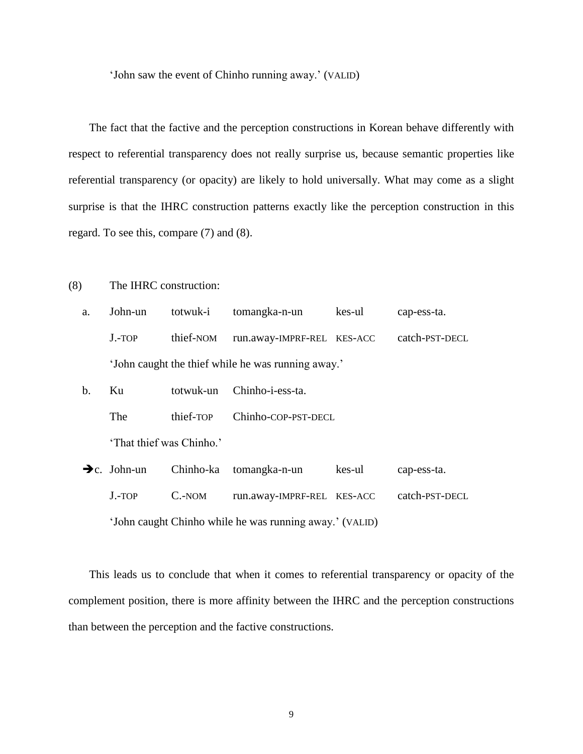'John saw the event of Chinho running away.' (VALID)

The fact that the factive and the perception constructions in Korean behave differently with respect to referential transparency does not really surprise us, because semantic properties like referential transparency (or opacity) are likely to hold universally. What may come as a slight surprise is that the IHRC construction patterns exactly like the perception construction in this regard. To see this, compare (7) and (8).

# (8) The IHRC construction:

| a. | John-un                                            | totwuk-i  | tomangka-n-un              | kes-ul | cap-ess-ta.    |  |
|----|----------------------------------------------------|-----------|----------------------------|--------|----------------|--|
|    | $J.-TOP$                                           | thief-NOM | run.away-IMPRF-REL KES-ACC |        | catch-PST-DECL |  |
|    | 'John caught the thief while he was running away.' |           |                            |        |                |  |

b. Ku totwuk-un Chinho-i-ess-ta. The thief-TOP Chinho-COP-PST-DECL 'That thief was Chinho.'

| $\rightarrow c.$ John-un                                |        | Chinho-ka tomangka-n-un    | kes-ul | cap-ess-ta.    |
|---------------------------------------------------------|--------|----------------------------|--------|----------------|
| $J.-TOP$                                                | C.-NOM | run.away-IMPRF-REL KES-ACC |        | catch-PST-DECL |
| 'John caught Chinho while he was running away.' (VALID) |        |                            |        |                |

This leads us to conclude that when it comes to referential transparency or opacity of the complement position, there is more affinity between the IHRC and the perception constructions than between the perception and the factive constructions.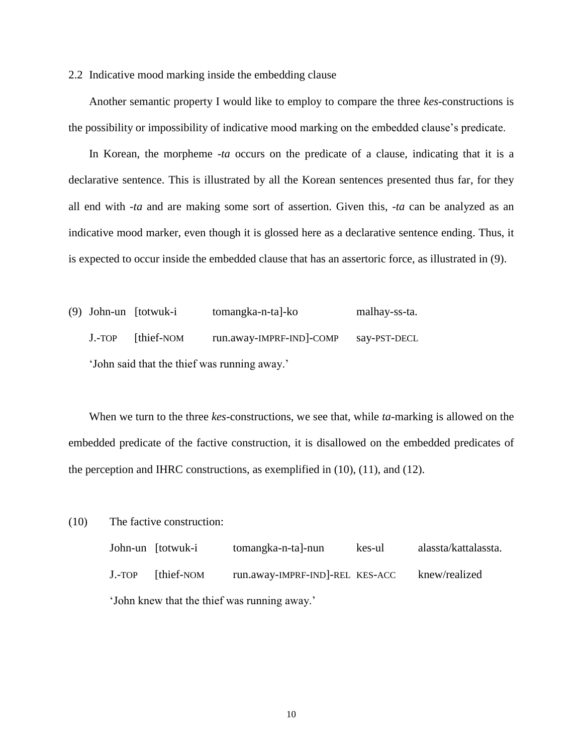2.2 Indicative mood marking inside the embedding clause

Another semantic property I would like to employ to compare the three *kes*-constructions is the possibility or impossibility of indicative mood marking on the embedded clause's predicate.

In Korean, the morpheme -*ta* occurs on the predicate of a clause, indicating that it is a declarative sentence. This is illustrated by all the Korean sentences presented thus far, for they all end with -*ta* and are making some sort of assertion. Given this, -*ta* can be analyzed as an indicative mood marker, even though it is glossed here as a declarative sentence ending. Thus, it is expected to occur inside the embedded clause that has an assertoric force, as illustrated in (9).

(9) John-un [totwuk-i tomangka-n-ta]-ko malhay-ss-ta. J.-TOP [thief-NOM run.away-IMPRF-IND]-COMP say-PST-DECL 'John said that the thief was running away.'

When we turn to the three *kes*-constructions, we see that, while *ta*-marking is allowed on the embedded predicate of the factive construction, it is disallowed on the embedded predicates of the perception and IHRC constructions, as exemplified in (10), (11), and (12).

(10) The factive construction:

|                                              | John-un [totwuk-i | tomangka-n-ta]-nun              | kes-ul | alassta/kattalassta. |
|----------------------------------------------|-------------------|---------------------------------|--------|----------------------|
| $J.-TOP$                                     | [thief-NOM]       | run.away-IMPRF-IND]-REL KES-ACC |        | knew/realized        |
| 'John knew that the thief was running away.' |                   |                                 |        |                      |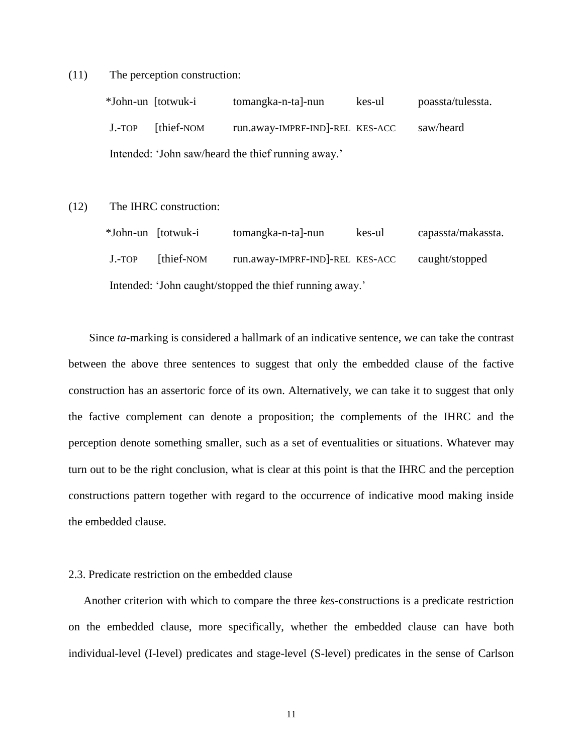(11) The perception construction:

 \*John-un [totwuk-i tomangka-n-ta]-nun kes-ul poassta/tulessta. J.-TOP [thief-NOM run.away-IMPRF-IND]-REL KES-ACC saw/heard Intended: 'John saw/heard the thief running away.'

(12) The IHRC construction:

|                                                         | *John-un [totwuk-i | tomangka-n-ta]-nun              | kes-ul | capassta/makassta. |  |
|---------------------------------------------------------|--------------------|---------------------------------|--------|--------------------|--|
| $J.-TOP$                                                | [thief-NOM]        | run.away-IMPRF-IND]-REL KES-ACC |        | caught/stopped     |  |
| Intended: 'John caught/stopped the thief running away.' |                    |                                 |        |                    |  |

Since *ta*-marking is considered a hallmark of an indicative sentence, we can take the contrast between the above three sentences to suggest that only the embedded clause of the factive construction has an assertoric force of its own. Alternatively, we can take it to suggest that only the factive complement can denote a proposition; the complements of the IHRC and the perception denote something smaller, such as a set of eventualities or situations. Whatever may turn out to be the right conclusion, what is clear at this point is that the IHRC and the perception constructions pattern together with regard to the occurrence of indicative mood making inside the embedded clause.

## 2.3. Predicate restriction on the embedded clause

Another criterion with which to compare the three *kes*-constructions is a predicate restriction on the embedded clause, more specifically, whether the embedded clause can have both individual-level (I-level) predicates and stage-level (S-level) predicates in the sense of Carlson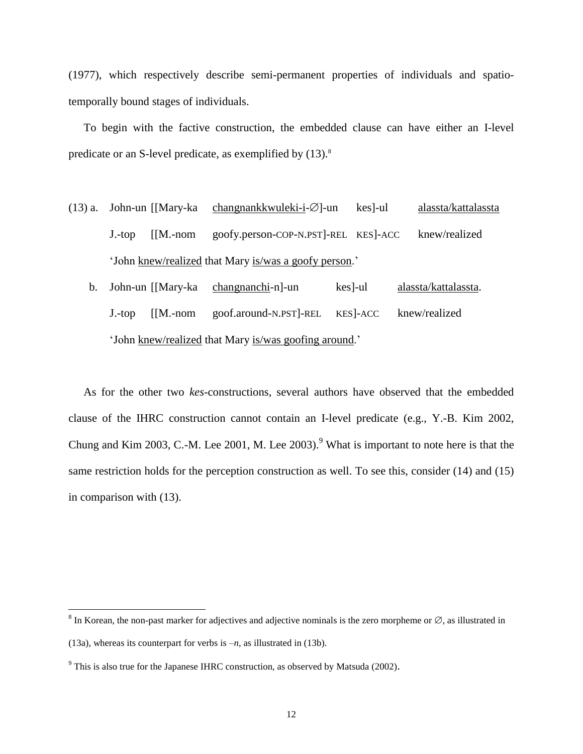(1977), which respectively describe semi-permanent properties of individuals and spatiotemporally bound stages of individuals.

To begin with the factive construction, the embedded clause can have either an I-level predicate or an S-level predicate, as exemplified by  $(13)$ .<sup>8</sup>

- (13) a. John-un [[Mary-ka changnankkwuleki-i- $\varnothing$ ]-un kes]-ul alassta/kattalassta J.-top [[M.-nom goofy.person-COP-N.PST]-REL KES]-ACC knew/realized 'John knew/realized that Mary is/was a goofy person.'
	- b. John-un [[Mary-ka changnanchi-n]-un kes]-ul alassta/kattalassta. J.-top [[M.-nom goof.around-N.PST]-REL KES]-ACC knew/realized 'John knew/realized that Mary is/was goofing around.'

As for the other two *kes*-constructions, several authors have observed that the embedded clause of the IHRC construction cannot contain an I-level predicate (e.g., Y.-B. Kim 2002, Chung and Kim 2003, C.-M. Lee 2001, M. Lee 2003).<sup>9</sup> What is important to note here is that the same restriction holds for the perception construction as well. To see this, consider (14) and (15) in comparison with (13).

<sup>&</sup>lt;sup>8</sup> In Korean, the non-past marker for adjectives and adjective nominals is the zero morpheme or  $\varnothing$ , as illustrated in

<sup>(13</sup>a), whereas its counterpart for verbs is –*n*, as illustrated in (13b).

 $9$ <sup>9</sup> This is also true for the Japanese IHRC construction, as observed by Matsuda (2002).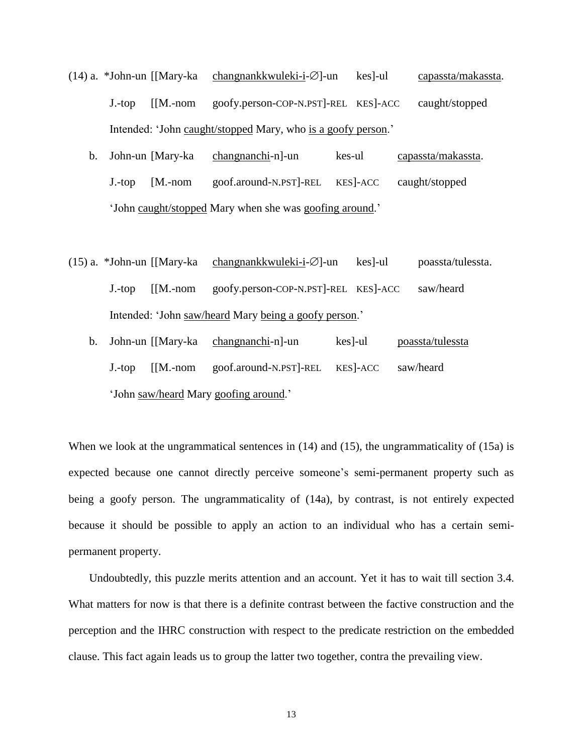- (14) a. \*John-un [[Mary-ka changnankkwuleki-i- $\varnothing$ ]-un kes]-ul capassta/makassta. J.-top [[M.-nom goofy.person-COP-N.PST]-REL KES]-ACC caught/stopped Intended: 'John caught/stopped Mary, who is a goofy person.'
	- b. John-un [Mary-ka changnanchi-n]-un kes-ul capassta/makassta. J.-top [M.-nom goof.around-N.PST]-REL KES]-ACC caught/stopped 'John caught/stopped Mary when she was goofing around.'
- (15) a. \*John-un [[Mary-ka changnankkwuleki-i- $\emptyset$ ]-un kes]-ul poassta/tulessta. J.-top [[M.-nom goofy.person-COP-N.PST]-REL KES]-ACC saw/heard Intended: 'John saw/heard Mary being a goofy person.'
	- b. John-un [[Mary-ka changnanchi-n]-un kes]-ul poassta/tulessta J.-top [[M.-nom goof.around-N.PST]-REL KES]-ACC saw/heard 'John saw/heard Mary goofing around.'

When we look at the ungrammatical sentences in (14) and (15), the ungrammaticality of (15a) is expected because one cannot directly perceive someone's semi-permanent property such as being a goofy person. The ungrammaticality of (14a), by contrast, is not entirely expected because it should be possible to apply an action to an individual who has a certain semipermanent property.

Undoubtedly, this puzzle merits attention and an account. Yet it has to wait till section 3.4. What matters for now is that there is a definite contrast between the factive construction and the perception and the IHRC construction with respect to the predicate restriction on the embedded clause. This fact again leads us to group the latter two together, contra the prevailing view.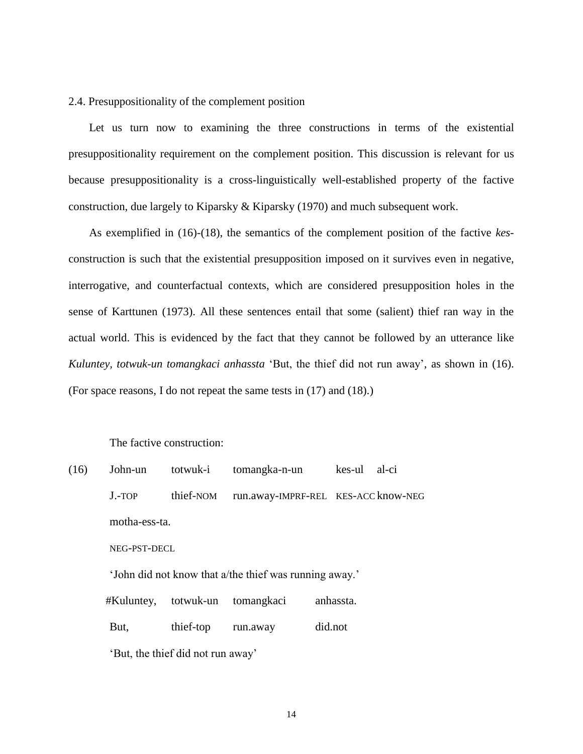2.4. Presuppositionality of the complement position

Let us turn now to examining the three constructions in terms of the existential presuppositionality requirement on the complement position. This discussion is relevant for us because presuppositionality is a cross-linguistically well-established property of the factive construction, due largely to Kiparsky & Kiparsky (1970) and much subsequent work.

As exemplified in (16)-(18), the semantics of the complement position of the factive *kes*construction is such that the existential presupposition imposed on it survives even in negative, interrogative, and counterfactual contexts, which are considered presupposition holes in the sense of Karttunen (1973). All these sentences entail that some (salient) thief ran way in the actual world. This is evidenced by the fact that they cannot be followed by an utterance like *Kuluntey, totwuk-un tomangkaci anhassta* 'But, the thief did not run away', as shown in (16). (For space reasons, I do not repeat the same tests in (17) and (18).)

The factive construction:

| (16)                                                                                                         | John-un                           | totwuk-i  | tomangka-n-un                       | kes-ul  | al-ci |  |
|--------------------------------------------------------------------------------------------------------------|-----------------------------------|-----------|-------------------------------------|---------|-------|--|
|                                                                                                              | $J.-TOP$                          | thief-NOM | run.away-IMPRF-REL KES-ACC know-NEG |         |       |  |
|                                                                                                              | motha-ess-ta.<br>NEG-PST-DECL     |           |                                     |         |       |  |
|                                                                                                              |                                   |           |                                     |         |       |  |
| 'John did not know that a/the thief was running away.'<br>anhassta.<br>totwuk-un<br>tomangkaci<br>#Kuluntey, |                                   |           |                                     |         |       |  |
|                                                                                                              |                                   |           |                                     |         |       |  |
|                                                                                                              | But,                              | thief-top | run.away                            | did.not |       |  |
|                                                                                                              | 'But, the thief did not run away' |           |                                     |         |       |  |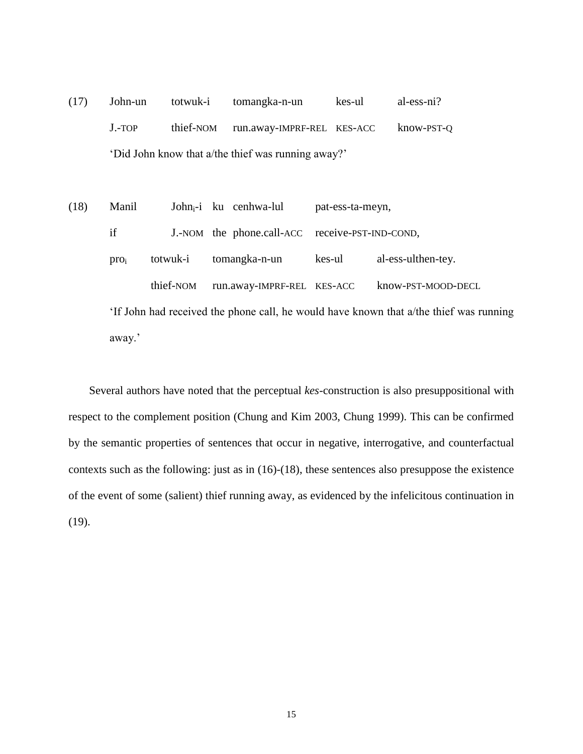- (17) John-un totwuk-i tomangka-n-un kes-ul al-ess-ni? J.-TOP thief-NOM run.away-IMPRF-REL KES-ACC know-PST-Q 'Did John know that a/the thief was running away?'
- (18) Manil Johni-i ku cenhwa-lul pat-ess-ta-meyn, if J.-NOM the phone.call-ACC receive-PST-IND-COND, pro<sup>i</sup> totwuk-i tomangka-n-un kes-ul al-ess-ulthen-tey. thief-NOM run.away-IMPRF-REL KES-ACC know-PST-MOOD-DECL

'If John had received the phone call, he would have known that a/the thief was running away.'

Several authors have noted that the perceptual *kes*-construction is also presuppositional with respect to the complement position (Chung and Kim 2003, Chung 1999). This can be confirmed by the semantic properties of sentences that occur in negative, interrogative, and counterfactual contexts such as the following: just as in (16)-(18), these sentences also presuppose the existence of the event of some (salient) thief running away, as evidenced by the infelicitous continuation in (19).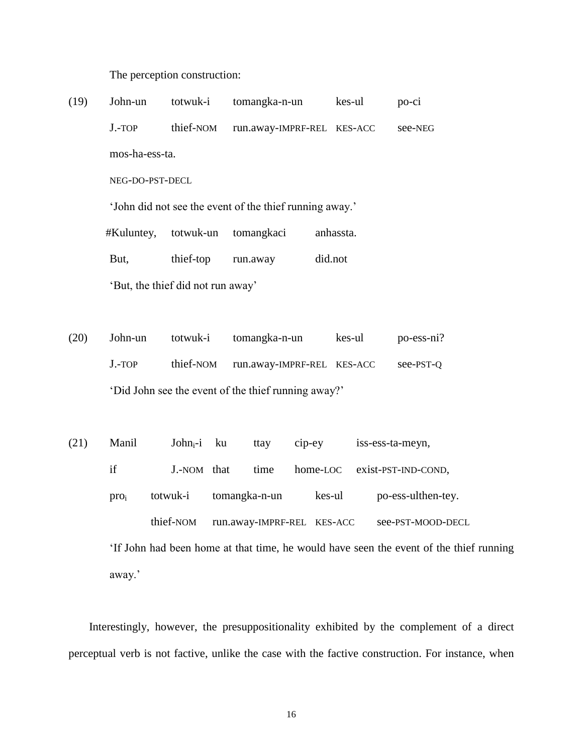The perception construction:

(19) John-un totwuk-i tomangka-n-un kes-ul po-ci J.-TOP thief-NOM run.away-IMPRF-REL KES-ACC see-NEG mos-ha-ess-ta. NEG-DO-PST-DECL

'John did not see the event of the thief running away.'

#Kuluntey, totwuk-un tomangkaci anhassta.

But, thief-top run.away did.not

'But, the thief did not run away'

- (20) John-un totwuk-i tomangka-n-un kes-ul po-ess-ni? J.-TOP thief-NOM run.away-IMPRF-REL KES-ACC see-PST-Q 'Did John see the event of the thief running away?'
- (21) Manil John<sub>i</sub>-i ku ttay cip-ey iss-ess-ta-meyn, if J.-NOM that time home-LOC exist-PST-IND-COND, pro<sup>i</sup> totwuk-i tomangka-n-un kes-ul po-ess-ulthen-tey. thief-NOM run.away-IMPRF-REL KES-ACC see-PST-MOOD-DECL

'If John had been home at that time, he would have seen the event of the thief running away.'

Interestingly, however, the presuppositionality exhibited by the complement of a direct perceptual verb is not factive, unlike the case with the factive construction. For instance, when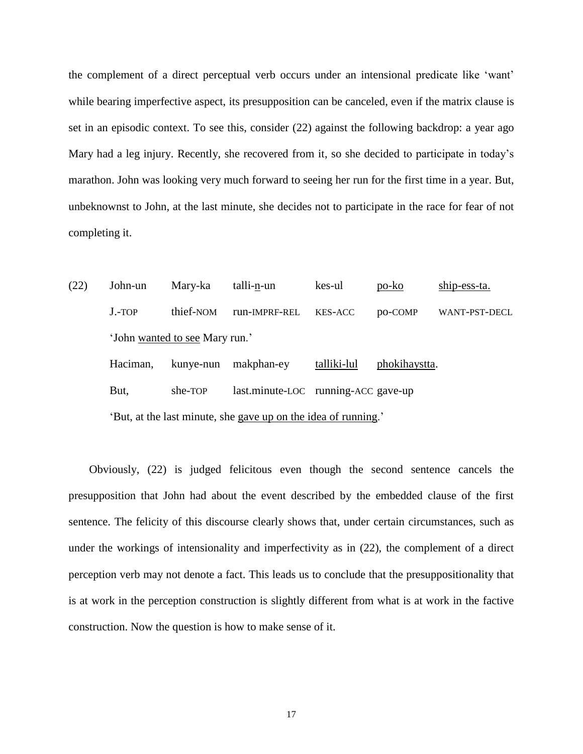the complement of a direct perceptual verb occurs under an intensional predicate like 'want' while bearing imperfective aspect, its presupposition can be canceled, even if the matrix clause is set in an episodic context. To see this, consider (22) against the following backdrop: a year ago Mary had a leg injury. Recently, she recovered from it, so she decided to participate in today's marathon. John was looking very much forward to seeing her run for the first time in a year. But, unbeknownst to John, at the last minute, she decides not to participate in the race for fear of not completing it.

| (22)                                                           | John-un                        | Mary-ka   | talli-n-un    | kes-ul                              | po-ko         | ship-ess-ta.         |  |  |
|----------------------------------------------------------------|--------------------------------|-----------|---------------|-------------------------------------|---------------|----------------------|--|--|
|                                                                | $J.-TOP$                       | thief-NOM | run-IMPRF-REL | KES-ACC                             | po-COMP       | <b>WANT-PST-DECL</b> |  |  |
|                                                                | 'John wanted to see Mary run.' |           |               |                                     |               |                      |  |  |
|                                                                | Haciman,                       | kunye-nun | makphan-ey    | talliki-lul                         | phokihaystta. |                      |  |  |
|                                                                | But,                           | she-TOP   |               | last.minute-LOC running-ACC gave-up |               |                      |  |  |
| 'But, at the last minute, she gave up on the idea of running.' |                                |           |               |                                     |               |                      |  |  |

Obviously, (22) is judged felicitous even though the second sentence cancels the presupposition that John had about the event described by the embedded clause of the first sentence. The felicity of this discourse clearly shows that, under certain circumstances, such as under the workings of intensionality and imperfectivity as in (22), the complement of a direct perception verb may not denote a fact. This leads us to conclude that the presuppositionality that is at work in the perception construction is slightly different from what is at work in the factive construction. Now the question is how to make sense of it.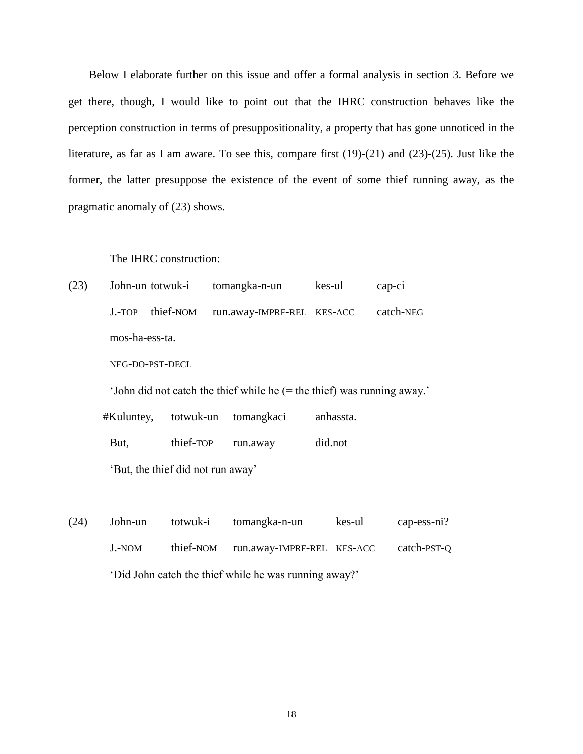Below I elaborate further on this issue and offer a formal analysis in section 3. Before we get there, though, I would like to point out that the IHRC construction behaves like the perception construction in terms of presuppositionality, a property that has gone unnoticed in the literature, as far as I am aware. To see this, compare first (19)-(21) and (23)-(25). Just like the former, the latter presuppose the existence of the event of some thief running away, as the pragmatic anomaly of (23) shows.

## The IHRC construction:

| (23) |                | John-un totwuk-i tomangka-n-un                        | kes-ul | cap-ci |
|------|----------------|-------------------------------------------------------|--------|--------|
|      |                | J.-TOP thief-NOM run.away-IMPRF-REL KES-ACC catch-NEG |        |        |
|      | mos-ha-ess-ta. |                                                       |        |        |

NEG-DO-PST-DECL

'John did not catch the thief while he (= the thief) was running away.'

|                                   |                    | #Kuluntey, totwuk-un tomangkaci | anhassta. |  |  |
|-----------------------------------|--------------------|---------------------------------|-----------|--|--|
| But,                              | thief-TOP run.away |                                 | did.not   |  |  |
| 'But, the thief did not run away' |                    |                                 |           |  |  |

(24) John-un totwuk-i tomangka-n-un kes-ul cap-ess-ni? J.-NOM thief-NOM run.away-IMPRF-REL KES-ACC catch-PST-Q 'Did John catch the thief while he was running away?'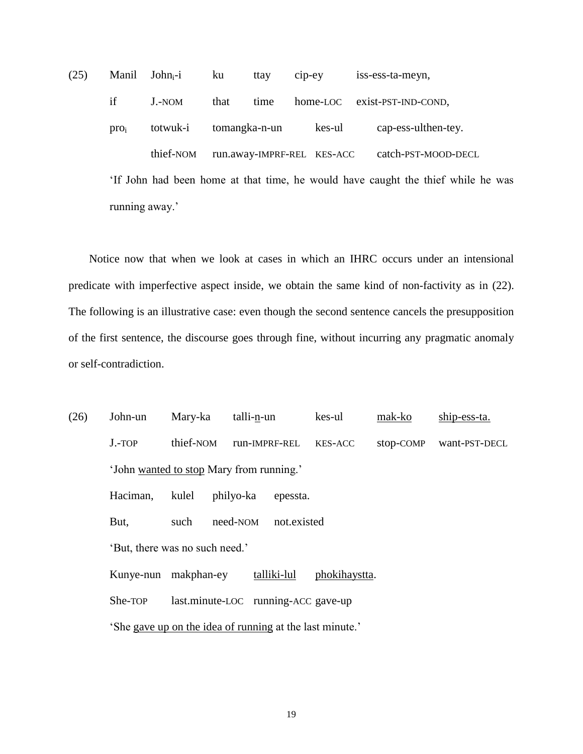(25) Manil Johni-i ku ttay cip-ey iss-ess-ta-meyn, if J.-NOM that time home-LOC exist-PST-IND-COND, pro<sup>i</sup> totwuk-i tomangka-n-un kes-ul cap-ess-ulthen-tey. thief-NOM run.away-IMPRF-REL KES-ACC catch-PST-MOOD-DECL

'If John had been home at that time, he would have caught the thief while he was running away.'

Notice now that when we look at cases in which an IHRC occurs under an intensional predicate with imperfective aspect inside, we obtain the same kind of non-factivity as in (22). The following is an illustrative case: even though the second sentence cancels the presupposition of the first sentence, the discourse goes through fine, without incurring any pragmatic anomaly or self-contradiction.

(26) John-un Mary-ka talli-n-un kes-ul mak-ko ship-ess-ta. J.-TOP thief-NOM run-IMPRF-REL KES-ACC stop-COMP want-PST-DECL 'John wanted to stop Mary from running.' Haciman, kulel philyo-ka epessta. But, such need-NOM not.existed 'But, there was no such need.' Kunye-nun makphan-ey talliki-lul phokihaystta. She-TOP last.minute-LOC running-ACC gave-up 'She gave up on the idea of running at the last minute.'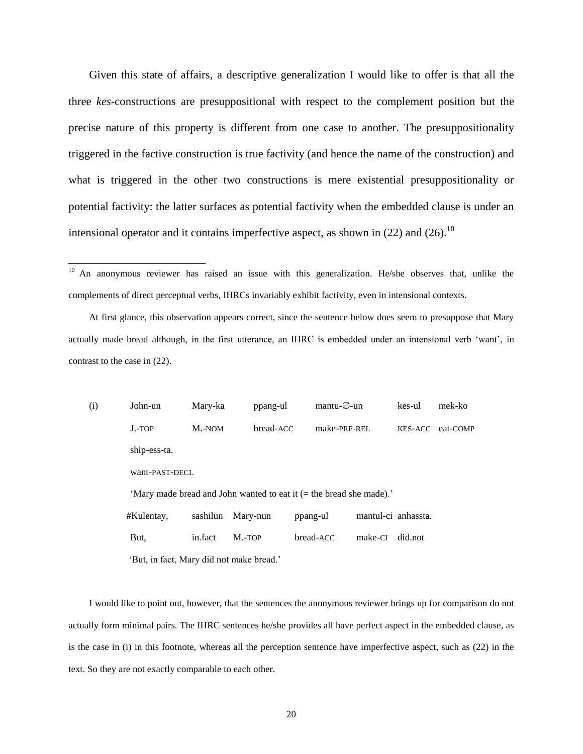Given this state of affairs, a descriptive generalization I would like to offer is that all the three *kes*-constructions are presuppositional with respect to the complement position but the precise nature of this property is different from one case to another. The presuppositionality triggered in the factive construction is true factivity (and hence the name of the construction) and what is triggered in the other two constructions is mere existential presuppositionality or potential factivity: the latter surfaces as potential factivity when the embedded clause is under an intensional operator and it contains imperfective aspect, as shown in (22) and (26).<sup>10</sup>

 $\overline{a}$ 

At first glance, this observation appears correct, since the sentence below does seem to presuppose that Mary actually made bread although, in the first utterance, an IHRC is embedded under an intensional verb 'want', in contrast to the case in (22).

(i) John-un Mary-ka ppang-ul mantu- $\emptyset$ -un kes-ul mek-ko J.-TOP M.-NOM bread-ACC make-PRF-REL KES-ACC eat-COMP ship-ess-ta. want-PAST-DECL 'Mary made bread and John wanted to eat it (= the bread she made).' #Kulentay, sashilun Mary-nun ppang-ul mantul-ci anhassta. But, in.fact M.-TOP bread-ACC make-CI did.not 'But, in fact, Mary did not make bread.'

I would like to point out, however, that the sentences the anonymous reviewer brings up for comparison do not actually form minimal pairs. The IHRC sentences he/she provides all have perfect aspect in the embedded clause, as is the case in (i) in this footnote, whereas all the perception sentence have imperfective aspect, such as (22) in the text. So they are not exactly comparable to each other.

<sup>&</sup>lt;sup>10</sup> An anonymous reviewer has raised an issue with this generalization. He/she observes that, unlike the complements of direct perceptual verbs, IHRCs invariably exhibit factivity, even in intensional contexts.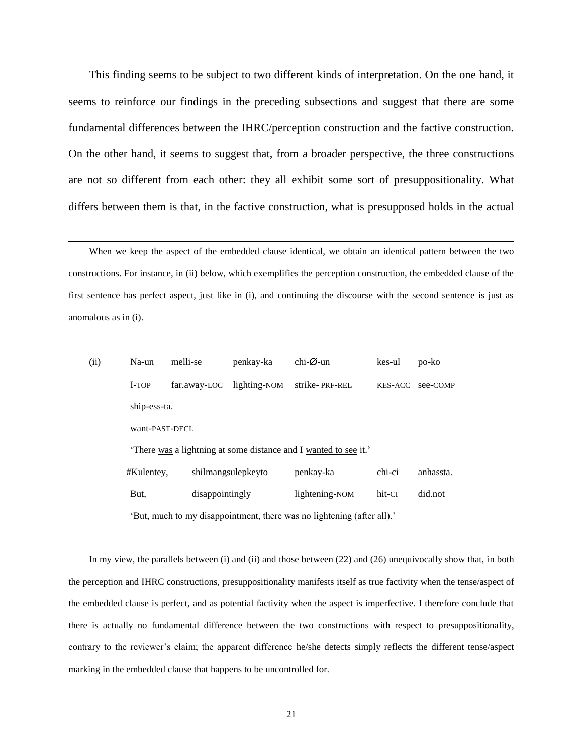This finding seems to be subject to two different kinds of interpretation. On the one hand, it seems to reinforce our findings in the preceding subsections and suggest that there are some fundamental differences between the IHRC/perception construction and the factive construction. On the other hand, it seems to suggest that, from a broader perspective, the three constructions are not so different from each other: they all exhibit some sort of presuppositionality. What differs between them is that, in the factive construction, what is presupposed holds in the actual

When we keep the aspect of the embedded clause identical, we obtain an identical pattern between the two constructions. For instance, in (ii) below, which exemplifies the perception construction, the embedded clause of the first sentence has perfect aspect, just like in (i), and continuing the discourse with the second sentence is just as anomalous as in (i).

 $\overline{a}$ 

| (ii) | Na-un                                                                            | melli-se                        | penkay-ka    | chi- $\varnothing$ -un | kes-ul         | po-ko     |  |
|------|----------------------------------------------------------------------------------|---------------------------------|--------------|------------------------|----------------|-----------|--|
|      | I-TOP                                                                            | far.away-LOC                    | lighting-NOM | strike-PRF-REL         | <b>KES-ACC</b> | see-COMP  |  |
|      | ship-ess-ta.                                                                     |                                 |              |                        |                |           |  |
|      | want-PAST-DECL<br>There was a lightning at some distance and I wanted to see it. |                                 |              |                        |                |           |  |
|      |                                                                                  |                                 |              |                        |                |           |  |
|      | #Kulentey,                                                                       | shilmangsulepkeyto<br>penkay-ka |              |                        |                | anhassta. |  |
|      | But,                                                                             | disappointingly                 |              | lightening-NOM         | hit-CI         | did.not   |  |
|      | 'But, much to my disappointment, there was no lightening (after all).'           |                                 |              |                        |                |           |  |

In my view, the parallels between (i) and (ii) and those between (22) and (26) unequivocally show that, in both the perception and IHRC constructions, presuppositionality manifests itself as true factivity when the tense/aspect of the embedded clause is perfect, and as potential factivity when the aspect is imperfective. I therefore conclude that there is actually no fundamental difference between the two constructions with respect to presuppositionality, contrary to the reviewer's claim; the apparent difference he/she detects simply reflects the different tense/aspect marking in the embedded clause that happens to be uncontrolled for.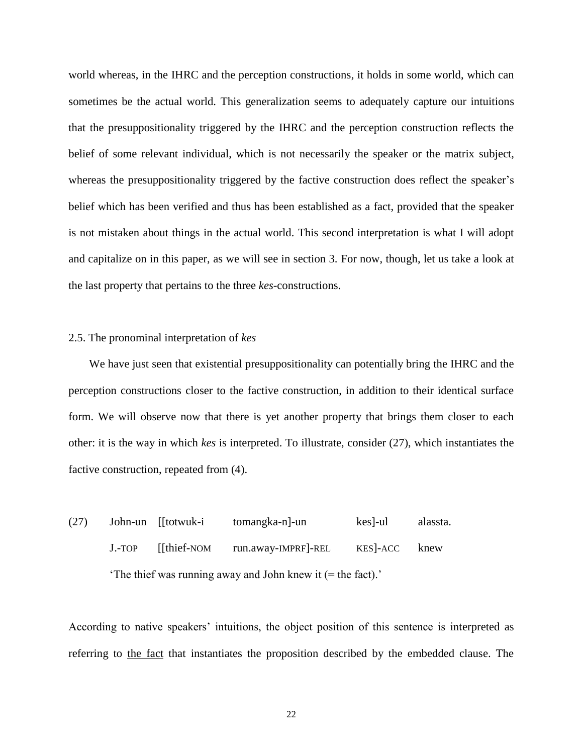world whereas, in the IHRC and the perception constructions, it holds in some world, which can sometimes be the actual world. This generalization seems to adequately capture our intuitions that the presuppositionality triggered by the IHRC and the perception construction reflects the belief of some relevant individual, which is not necessarily the speaker or the matrix subject, whereas the presuppositionality triggered by the factive construction does reflect the speaker's belief which has been verified and thus has been established as a fact, provided that the speaker is not mistaken about things in the actual world. This second interpretation is what I will adopt and capitalize on in this paper, as we will see in section 3. For now, though, let us take a look at the last property that pertains to the three *kes*-constructions.

## 2.5. The pronominal interpretation of *kes*

We have just seen that existential presuppositionality can potentially bring the IHRC and the perception constructions closer to the factive construction, in addition to their identical surface form. We will observe now that there is yet another property that brings them closer to each other: it is the way in which *kes* is interpreted. To illustrate, consider (27), which instantiates the factive construction, repeated from (4).

(27) John-un [[totwuk-i tomangka-n]-un kes]-ul alassta. J.-TOP [[thief-NOM run.away-IMPRF]-REL KES]-ACC knew 'The thief was running away and John knew it (= the fact).'

According to native speakers' intuitions, the object position of this sentence is interpreted as referring to the fact that instantiates the proposition described by the embedded clause. The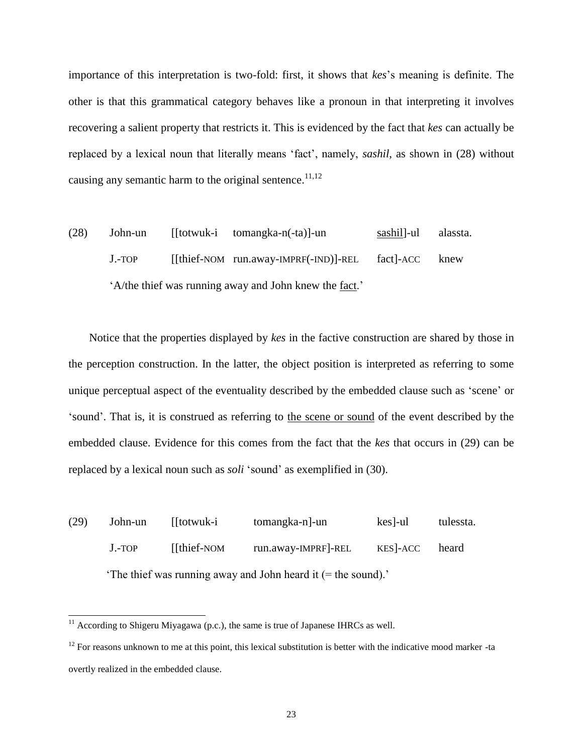importance of this interpretation is two-fold: first, it shows that *kes*'s meaning is definite. The other is that this grammatical category behaves like a pronoun in that interpreting it involves recovering a salient property that restricts it. This is evidenced by the fact that *kes* can actually be replaced by a lexical noun that literally means 'fact', namely, *sashil*, as shown in (28) without causing any semantic harm to the original sentence.<sup>11,12</sup>

(28) John-un [[totwuk-i tomangka-n(-ta)]-un sashil]-ul alassta. J.-TOP [[thief-NOM run.away-IMPRF(-IND)]-REL fact]-ACC knew 'A/the thief was running away and John knew the fact.'

Notice that the properties displayed by *kes* in the factive construction are shared by those in the perception construction. In the latter, the object position is interpreted as referring to some unique perceptual aspect of the eventuality described by the embedded clause such as 'scene' or 'sound'. That is, it is construed as referring to the scene or sound of the event described by the embedded clause. Evidence for this comes from the fact that the *kes* that occurs in (29) can be replaced by a lexical noun such as *soli* 'sound' as exemplified in (30).

(29) John-un [[totwuk-i tomangka-n]-un kes]-ul tulessta. J.-TOP [[thief-NOM run.away-IMPRF]-REL KES]-ACC heard 'The thief was running away and John heard it (= the sound).'

 $11$  According to Shigeru Miyagawa (p.c.), the same is true of Japanese IHRCs as well.

 $12$  For reasons unknown to me at this point, this lexical substitution is better with the indicative mood marker -ta overtly realized in the embedded clause.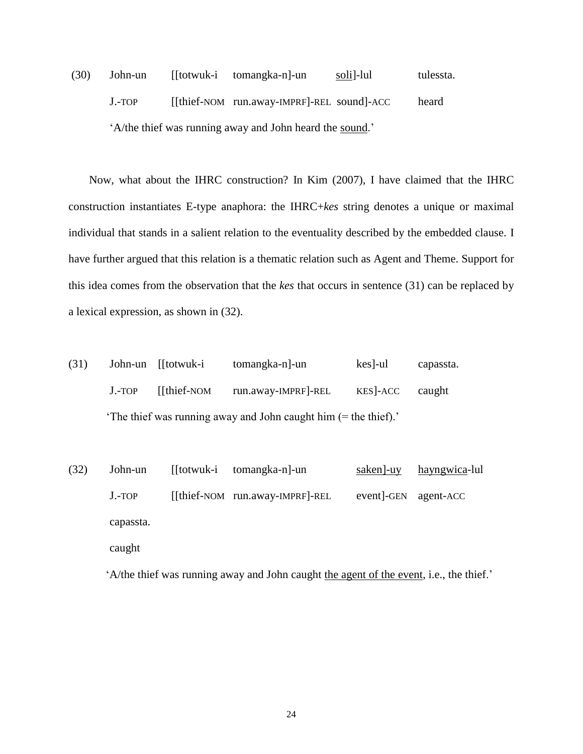(30) John-un [[totwuk-i tomangka-n]-un soli]-lul tulessta. J.-TOP [[thief-NOM run.away-IMPRF]-REL sound]-ACC heard 'A/the thief was running away and John heard the sound.'

Now, what about the IHRC construction? In Kim (2007), I have claimed that the IHRC construction instantiates E-type anaphora: the IHRC+*kes* string denotes a unique or maximal individual that stands in a salient relation to the eventuality described by the embedded clause. I have further argued that this relation is a thematic relation such as Agent and Theme. Support for this idea comes from the observation that the *kes* that occurs in sentence (31) can be replaced by a lexical expression, as shown in (32).

| (31) |                                                                | John-un [[totwuk-i | tomangka-n]-un      | $kes$ -ul | capassta. |  |
|------|----------------------------------------------------------------|--------------------|---------------------|-----------|-----------|--|
|      | $J.-TOP$                                                       | [[thief-NOM]       | run.away-IMPRF]-REL | KES - ACC | caught    |  |
|      | The thief was running away and John caught him (= the thief).' |                    |                     |           |           |  |

| (32) | John-un   | [[totwuk-i tomangka-n]-un          | saken]-uy           | <u>hayngwica</u> -lul |
|------|-----------|------------------------------------|---------------------|-----------------------|
|      | $J.-TOP$  | $[$ [thief-NOM run.away-IMPRF]-REL | event-GEN agent-ACC |                       |
|      | capassta. |                                    |                     |                       |
|      |           |                                    |                     |                       |

caught

'A/the thief was running away and John caught the agent of the event, i.e., the thief.'

24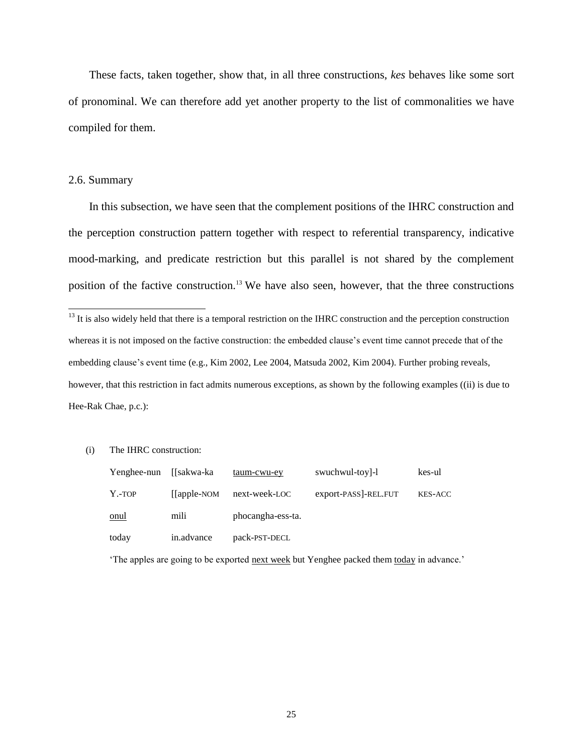These facts, taken together, show that, in all three constructions, *kes* behaves like some sort of pronominal. We can therefore add yet another property to the list of commonalities we have compiled for them.

## 2.6. Summary

 $\overline{a}$ 

In this subsection, we have seen that the complement positions of the IHRC construction and the perception construction pattern together with respect to referential transparency, indicative mood-marking, and predicate restriction but this parallel is not shared by the complement position of the factive construction.<sup>13</sup> We have also seen, however, that the three constructions

(i) The IHRC construction:

| Yenghee-nun | ∬sakwa-ka       | taum-cwu-ey       | swuchwul-toy]-1      | kes-ul         |
|-------------|-----------------|-------------------|----------------------|----------------|
| Y.-TOP      | $[$ [apple-NOM] | next-week-LOC     | export-PASS]-REL.FUT | <b>KES-ACC</b> |
| onul        | mili            | phocangha-ess-ta. |                      |                |
| today       | in.advance      | pack-PST-DECL     |                      |                |

'The apples are going to be exported next week but Yenghee packed them today in advance.'

 $<sup>13</sup>$  It is also widely held that there is a temporal restriction on the IHRC construction and the perception construction</sup> whereas it is not imposed on the factive construction: the embedded clause's event time cannot precede that of the embedding clause's event time (e.g., Kim 2002, Lee 2004, Matsuda 2002, Kim 2004). Further probing reveals, however, that this restriction in fact admits numerous exceptions, as shown by the following examples ((ii) is due to Hee-Rak Chae, p.c.):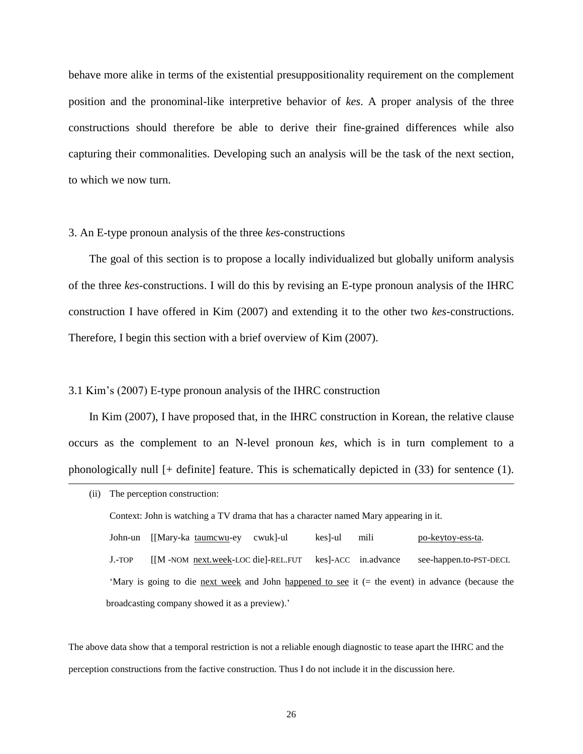behave more alike in terms of the existential presuppositionality requirement on the complement position and the pronominal-like interpretive behavior of *kes*. A proper analysis of the three constructions should therefore be able to derive their fine-grained differences while also capturing their commonalities. Developing such an analysis will be the task of the next section, to which we now turn.

#### 3. An E-type pronoun analysis of the three *kes*-constructions

The goal of this section is to propose a locally individualized but globally uniform analysis of the three *kes*-constructions. I will do this by revising an E-type pronoun analysis of the IHRC construction I have offered in Kim (2007) and extending it to the other two *kes*-constructions. Therefore, I begin this section with a brief overview of Kim (2007).

#### 3.1 Kim's (2007) E-type pronoun analysis of the IHRC construction

 $\overline{a}$ 

In Kim (2007), I have proposed that, in the IHRC construction in Korean, the relative clause occurs as the complement to an N-level pronoun *kes*, which is in turn complement to a phonologically null [+ definite] feature. This is schematically depicted in (33) for sentence (1).

<sup>(</sup>ii) The perception construction: Context: John is watching a TV drama that has a character named Mary appearing in it. John-un [[Mary-ka taumcwu-ey cwuk]-ul kes]-ul mili po-keytoy-ess-ta. J.-TOP [[M -NOM next.week-LOC die]-REL.FUT kes]-ACC in.advance see-happen.to-PST-DECL 'Mary is going to die next week and John happened to see it (= the event) in advance (because the broadcasting company showed it as a preview).'

The above data show that a temporal restriction is not a reliable enough diagnostic to tease apart the IHRC and the perception constructions from the factive construction. Thus I do not include it in the discussion here.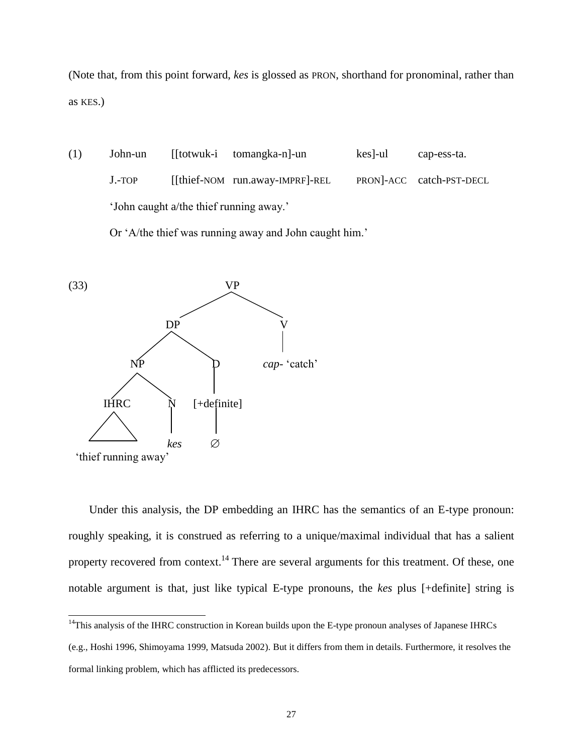(Note that, from this point forward, *kes* is glossed as PRON, shorthand for pronominal, rather than as KES.)

(1) John-un [[totwuk-i tomangka-n]-un kes]-ul cap-ess-ta. J.-TOP [[thief-NOM run.away-IMPRF]-REL PRON]-ACC catch-PST-DECL 'John caught a/the thief running away.'

Or 'A/the thief was running away and John caught him.'



 $\overline{a}$ 

Under this analysis, the DP embedding an IHRC has the semantics of an E-type pronoun: roughly speaking, it is construed as referring to a unique/maximal individual that has a salient property recovered from context.<sup>14</sup> There are several arguments for this treatment. Of these, one notable argument is that, just like typical E-type pronouns, the *kes* plus [+definite] string is

<sup>&</sup>lt;sup>14</sup>This analysis of the IHRC construction in Korean builds upon the E-type pronoun analyses of Japanese IHRCs

<sup>(</sup>e.g., Hoshi 1996, Shimoyama 1999, Matsuda 2002). But it differs from them in details. Furthermore, it resolves the formal linking problem, which has afflicted its predecessors.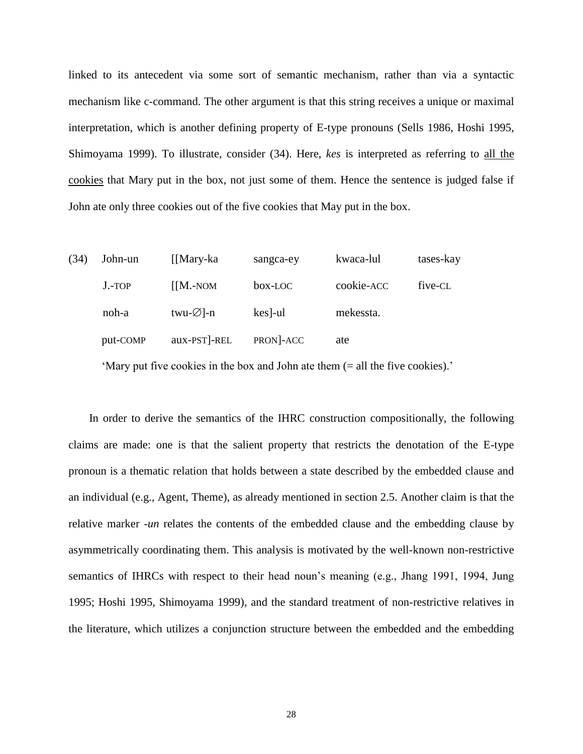linked to its antecedent via some sort of semantic mechanism, rather than via a syntactic mechanism like c-command. The other argument is that this string receives a unique or maximal interpretation, which is another defining property of E-type pronouns (Sells 1986, Hoshi 1995, Shimoyama 1999). To illustrate, consider (34). Here, *kes* is interpreted as referring to all the cookies that Mary put in the box, not just some of them. Hence the sentence is judged false if John ate only three cookies out of the five cookies that May put in the box.

| (34) | John-un  | [[Mary-ka]             | sangca-ey        | kwaca-lul  | tases-kay |
|------|----------|------------------------|------------------|------------|-----------|
|      | $J.-TOP$ | $[$ [M.-NOM]           | box-LOC          | cookie-ACC | five-CL   |
|      | noh-a    | twu- $\varnothing$ ]-n | $\text{kes}$ -ul | mekessta.  |           |
|      | put-COMP | aux-PST]-REL           | PRON-ACC         | ate        |           |
|      |          |                        |                  |            |           |

'Mary put five cookies in the box and John ate them (= all the five cookies).'

In order to derive the semantics of the IHRC construction compositionally, the following claims are made: one is that the salient property that restricts the denotation of the E-type pronoun is a thematic relation that holds between a state described by the embedded clause and an individual (e.g., Agent, Theme), as already mentioned in section 2.5. Another claim is that the relative marker -*un* relates the contents of the embedded clause and the embedding clause by asymmetrically coordinating them. This analysis is motivated by the well-known non-restrictive semantics of IHRCs with respect to their head noun's meaning (e.g., Jhang 1991, 1994, Jung 1995; Hoshi 1995, Shimoyama 1999), and the standard treatment of non-restrictive relatives in the literature, which utilizes a conjunction structure between the embedded and the embedding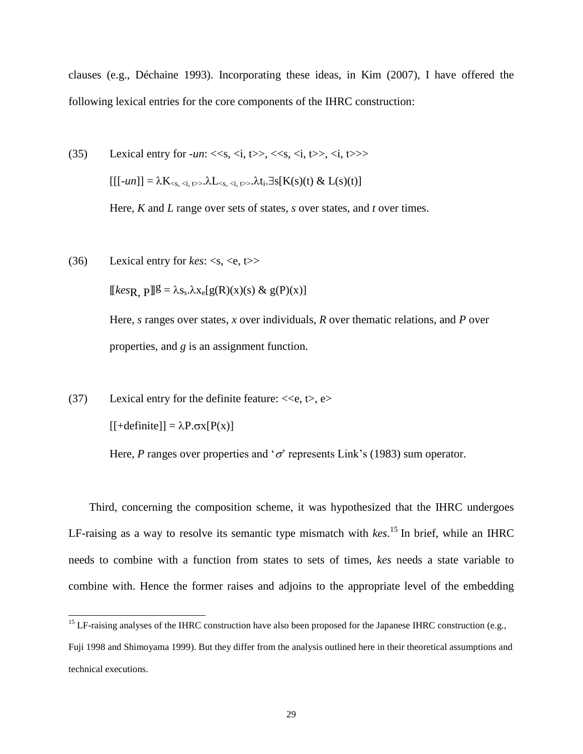clauses (e.g., Déchaine 1993). Incorporating these ideas, in Kim (2007), I have offered the following lexical entries for the core components of the IHRC construction:

(35) Lexical entry for 
$$
-un: \langle\langle s, \langle i, t \rangle \rangle, \langle\langle s, \langle i, t \rangle \rangle, \langle i, t \rangle \rangle
$$
  
\n
$$
[[[-un]] = \lambda K_{\langle s, \langle i, t \rangle}, \lambda L_{\langle s, \langle i, t \rangle}, \lambda t_i, \exists s[K(s)(t) \& L(s)(t)]
$$

Here, *K* and *L* range over sets of states, *s* over states, and *t* over times.

(36) Lexical entry for  $kes: >$ 

 $[[\text{kes}_R \ p]]\mathcal{E} = \lambda s_s \lambda x_e[g(R)(x)(s) \& g(P)(x)]$ 

Here, *s* ranges over states, *x* over individuals, *R* over thematic relations, and *P* over properties, and *g* is an assignment function.

(37) Lexical entry for the definite feature:  $<,  $\leftrightarrow$ ,  $e$$ 

 $[$  + definite]] =  $\lambda P \cdot \sigma x$  [P(x)]

 $\overline{a}$ 

Here, *P* ranges over properties and ' $\sigma$ ' represents Link's (1983) sum operator.

Third, concerning the composition scheme, it was hypothesized that the IHRC undergoes LF-raising as a way to resolve its semantic type mismatch with *kes*. <sup>15</sup> In brief, while an IHRC needs to combine with a function from states to sets of times, *kes* needs a state variable to combine with. Hence the former raises and adjoins to the appropriate level of the embedding

<sup>&</sup>lt;sup>15</sup> LF-raising analyses of the IHRC construction have also been proposed for the Japanese IHRC construction (e.g.,

Fuji 1998 and Shimoyama 1999). But they differ from the analysis outlined here in their theoretical assumptions and technical executions.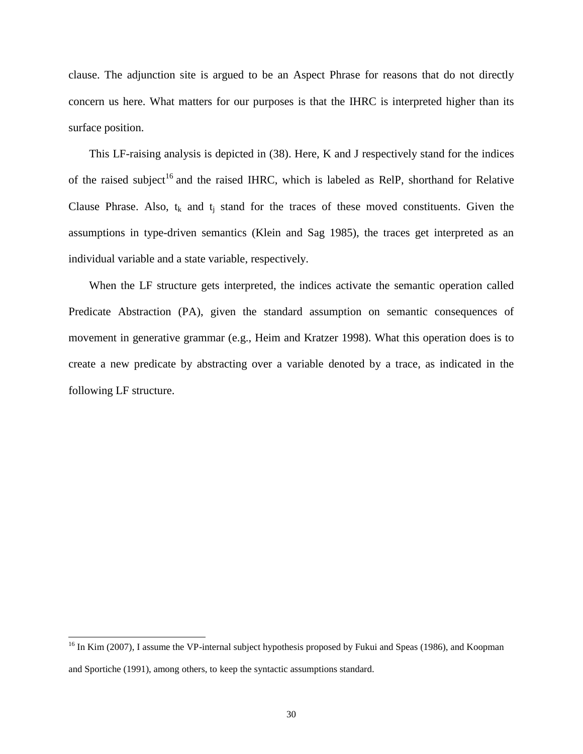clause. The adjunction site is argued to be an Aspect Phrase for reasons that do not directly concern us here. What matters for our purposes is that the IHRC is interpreted higher than its surface position.

This LF-raising analysis is depicted in (38). Here, K and J respectively stand for the indices of the raised subject<sup>16</sup> and the raised IHRC, which is labeled as RelP, shorthand for Relative Clause Phrase. Also,  $t_k$  and  $t_j$  stand for the traces of these moved constituents. Given the assumptions in type-driven semantics (Klein and Sag 1985), the traces get interpreted as an individual variable and a state variable, respectively.

When the LF structure gets interpreted, the indices activate the semantic operation called Predicate Abstraction (PA), given the standard assumption on semantic consequences of movement in generative grammar (e.g., Heim and Kratzer 1998). What this operation does is to create a new predicate by abstracting over a variable denoted by a trace, as indicated in the following LF structure.

<sup>&</sup>lt;sup>16</sup> In Kim (2007), I assume the VP-internal subject hypothesis proposed by Fukui and Speas (1986), and Koopman and Sportiche (1991), among others, to keep the syntactic assumptions standard.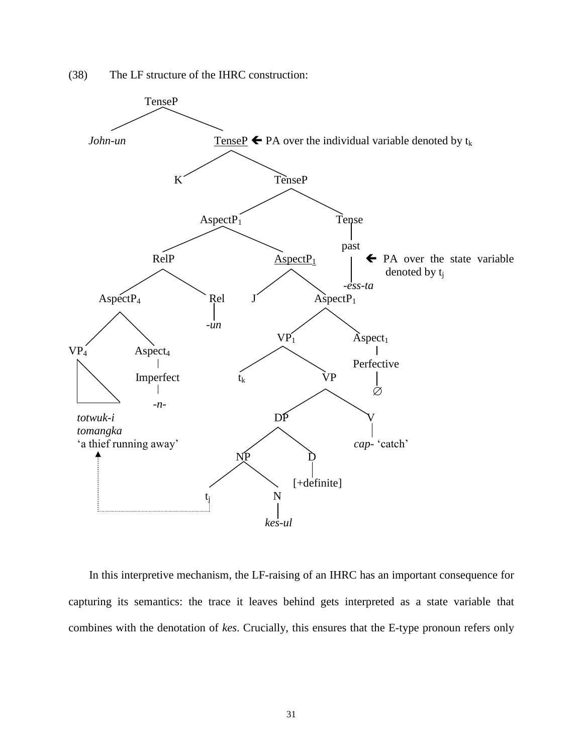



In this interpretive mechanism, the LF-raising of an IHRC has an important consequence for capturing its semantics: the trace it leaves behind gets interpreted as a state variable that combines with the denotation of *kes*. Crucially, this ensures that the E-type pronoun refers only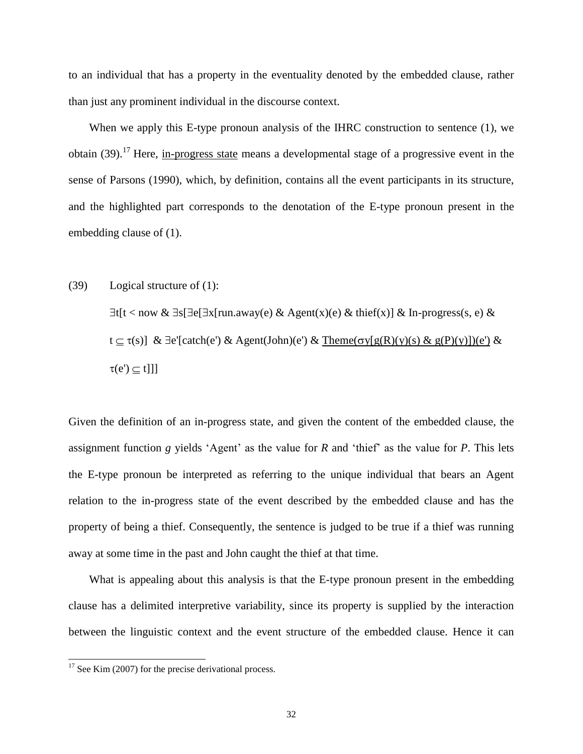to an individual that has a property in the eventuality denoted by the embedded clause, rather than just any prominent individual in the discourse context.

When we apply this E-type pronoun analysis of the IHRC construction to sentence (1), we obtain (39).<sup>17</sup> Here, in-progress state means a developmental stage of a progressive event in the sense of Parsons (1990), which, by definition, contains all the event participants in its structure, and the highlighted part corresponds to the denotation of the E-type pronoun present in the embedding clause of (1).

(39) Logical structure of (1):  $\exists t[t < now \& \exists s[\exists e[\exists x[run.away(e) \& Agent(x)(e) \& third(x)] \& In-process(s, e) \&$  $t \subseteq \tau(s)$ ] &  $\exists e'$ [catch(e') & Agent(John)(e') & Theme( $\sigma y[g(R)(y)(s)$  &  $g(P)(y)](e')$  &  $\tau(e') \subset t$ ]]]

Given the definition of an in-progress state, and given the content of the embedded clause, the assignment function *g* yields 'Agent' as the value for *R* and 'thief' as the value for *P*. This lets the E-type pronoun be interpreted as referring to the unique individual that bears an Agent relation to the in-progress state of the event described by the embedded clause and has the property of being a thief. Consequently, the sentence is judged to be true if a thief was running away at some time in the past and John caught the thief at that time.

What is appealing about this analysis is that the E-type pronoun present in the embedding clause has a delimited interpretive variability, since its property is supplied by the interaction between the linguistic context and the event structure of the embedded clause. Hence it can

 $17$  See Kim (2007) for the precise derivational process.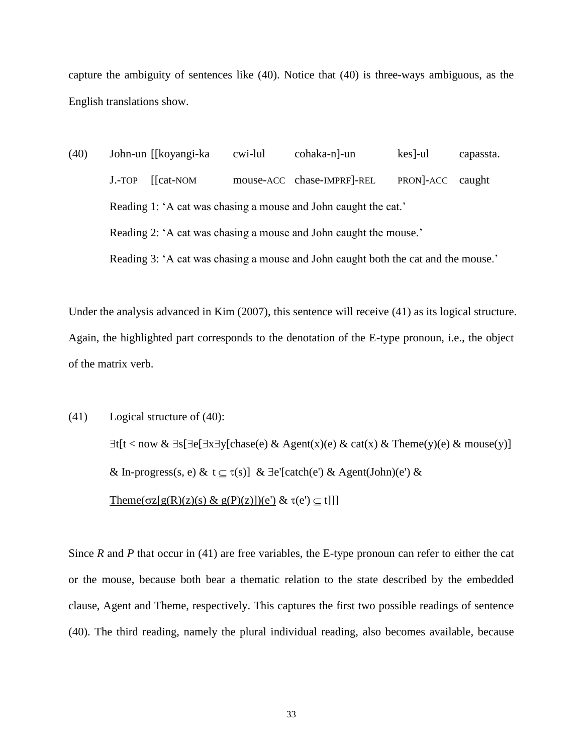capture the ambiguity of sentences like (40). Notice that (40) is three-ways ambiguous, as the English translations show.

(40) John-un [[koyangi-ka cwi-lul cohaka-n]-un kes]-ul capassta. J.-TOP [[cat-NOM mouse-ACC chase-IMPRF]-REL PRON]-ACC caught Reading 1: 'A cat was chasing a mouse and John caught the cat.' Reading 2: 'A cat was chasing a mouse and John caught the mouse.' Reading 3: 'A cat was chasing a mouse and John caught both the cat and the mouse.'

Under the analysis advanced in Kim (2007), this sentence will receive (41) as its logical structure. Again, the highlighted part corresponds to the denotation of the E-type pronoun, i.e., the object of the matrix verb.

(41) Logical structure of (40):

 $\exists t[t < now \& \exists s[\exists e[\exists x \exists y[\text{chase}(e) \& \text{Agent}(x)(e) \& \text{cat}(x) \& \text{Theme}(y)(e) \& \text{mouse}(y)]$ & In-progress(s, e) &  $t \subseteq \tau(s)$ ] &  $\exists e'$ [catch(e') & Agent(John)(e') & Theme( $\sigma z[g(R)(z)(s) \& g(P)(z)](e') \& \tau(e') \subseteq t]]$ ]

Since *R* and *P* that occur in (41) are free variables, the E-type pronoun can refer to either the cat or the mouse, because both bear a thematic relation to the state described by the embedded clause, Agent and Theme, respectively. This captures the first two possible readings of sentence (40). The third reading, namely the plural individual reading, also becomes available, because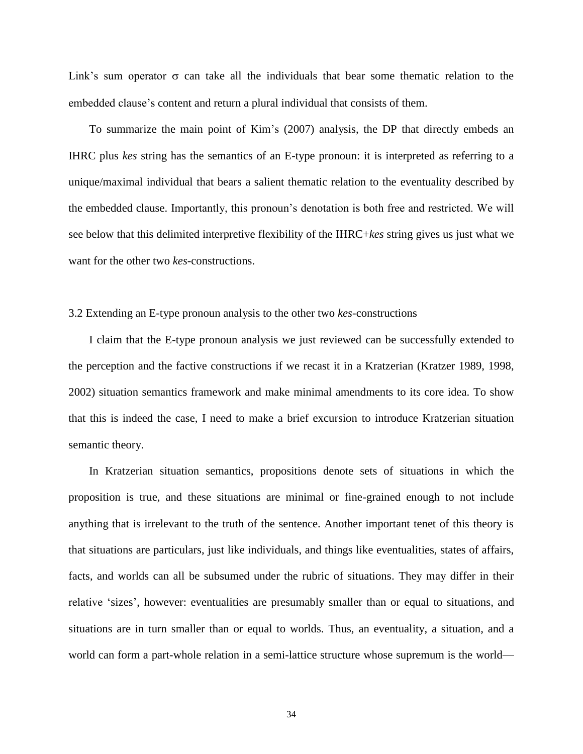Link's sum operator  $\sigma$  can take all the individuals that bear some thematic relation to the embedded clause's content and return a plural individual that consists of them.

To summarize the main point of Kim's (2007) analysis, the DP that directly embeds an IHRC plus *kes* string has the semantics of an E-type pronoun: it is interpreted as referring to a unique/maximal individual that bears a salient thematic relation to the eventuality described by the embedded clause. Importantly, this pronoun's denotation is both free and restricted. We will see below that this delimited interpretive flexibility of the IHRC+*kes* string gives us just what we want for the other two *kes*-constructions.

## 3.2 Extending an E-type pronoun analysis to the other two *kes*-constructions

I claim that the E-type pronoun analysis we just reviewed can be successfully extended to the perception and the factive constructions if we recast it in a Kratzerian (Kratzer 1989, 1998, 2002) situation semantics framework and make minimal amendments to its core idea. To show that this is indeed the case, I need to make a brief excursion to introduce Kratzerian situation semantic theory.

In Kratzerian situation semantics, propositions denote sets of situations in which the proposition is true, and these situations are minimal or fine-grained enough to not include anything that is irrelevant to the truth of the sentence. Another important tenet of this theory is that situations are particulars, just like individuals, and things like eventualities, states of affairs, facts, and worlds can all be subsumed under the rubric of situations. They may differ in their relative 'sizes', however: eventualities are presumably smaller than or equal to situations, and situations are in turn smaller than or equal to worlds. Thus, an eventuality, a situation, and a world can form a part-whole relation in a semi-lattice structure whose supremum is the world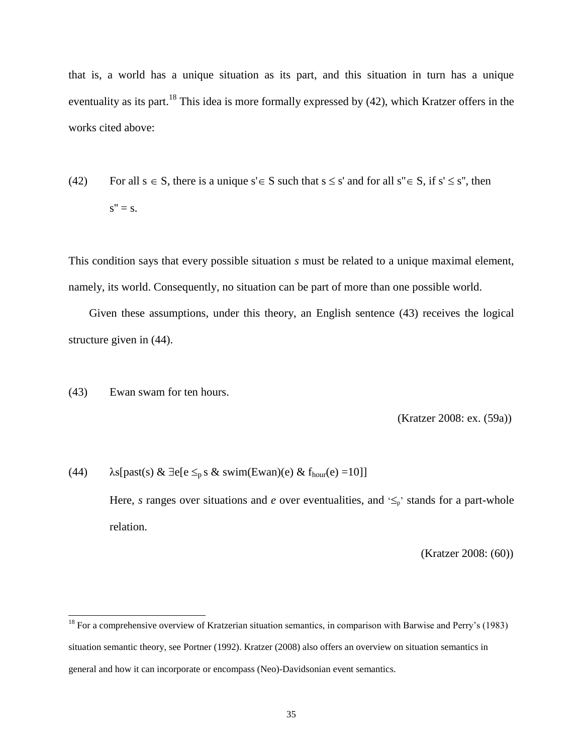that is, a world has a unique situation as its part, and this situation in turn has a unique eventuality as its part.<sup>18</sup> This idea is more formally expressed by (42), which Kratzer offers in the works cited above:

(42) For all  $s \in S$ , there is a unique  $s' \in S$  such that  $s \leq s'$  and for all  $s'' \in S$ , if  $s' \leq s''$ , then  $s'' = s$ .

This condition says that every possible situation *s* must be related to a unique maximal element, namely, its world. Consequently, no situation can be part of more than one possible world.

Given these assumptions, under this theory, an English sentence (43) receives the logical structure given in (44).

(43) Ewan swam for ten hours.

 $\overline{a}$ 

(Kratzer 2008: ex. (59a))

(44)  $\lambda$ s[past(s) &  $\exists$ e[e  $\leq_p$  s & swim(Ewan)(e) & f<sub>hour</sub>(e) =10]] Here, *s* ranges over situations and *e* over eventualities, and  $\leq_p$  stands for a part-whole relation.

(Kratzer 2008: (60))

 $18$  For a comprehensive overview of Kratzerian situation semantics, in comparison with Barwise and Perry's (1983) situation semantic theory, see Portner (1992). Kratzer (2008) also offers an overview on situation semantics in general and how it can incorporate or encompass (Neo)-Davidsonian event semantics.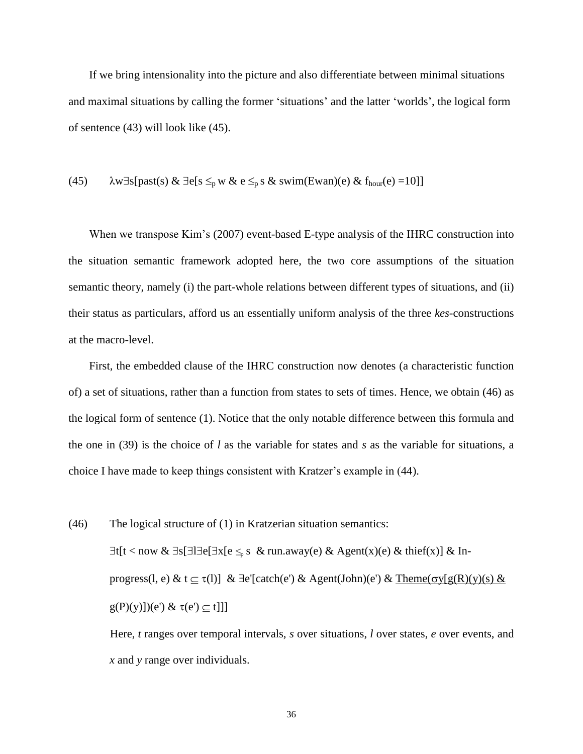If we bring intensionality into the picture and also differentiate between minimal situations and maximal situations by calling the former 'situations' and the latter 'worlds', the logical form of sentence (43) will look like (45).

(45) 
$$
\lambda w \exists s [past(s) \& \exists e [s \leq_p w \& e \leq_p s \& swim(Ewan)(e) \& f_{hour}(e) = 10]]
$$

When we transpose Kim's (2007) event-based E-type analysis of the IHRC construction into the situation semantic framework adopted here, the two core assumptions of the situation semantic theory, namely (i) the part-whole relations between different types of situations, and (ii) their status as particulars, afford us an essentially uniform analysis of the three *kes*-constructions at the macro-level.

First, the embedded clause of the IHRC construction now denotes (a characteristic function of) a set of situations, rather than a function from states to sets of times. Hence, we obtain (46) as the logical form of sentence (1). Notice that the only notable difference between this formula and the one in (39) is the choice of *l* as the variable for states and *s* as the variable for situations, a choice I have made to keep things consistent with Kratzer's example in (44).

(46) The logical structure of (1) in Kratzerian situation semantics:  $\exists t[t < now \& \exists s[\exists \exists e[\exists x[e \leq_{p} s \& run.away(e) \& Agent(x)(e) \& third(x)] \& In-$ progress(l, e) & t  $\subseteq \tau(l)$ ] &  $\exists e'[catch(e') \& Agent(John)(e') \& Thene(\sigma y[g(R)(y)(s) \&$  $g(P)(y)](e') \& \tau(e') \subseteq t$ ]] Here, *t* ranges over temporal intervals, *s* over situations, *l* over states, *e* over events, and

*x* and *y* range over individuals.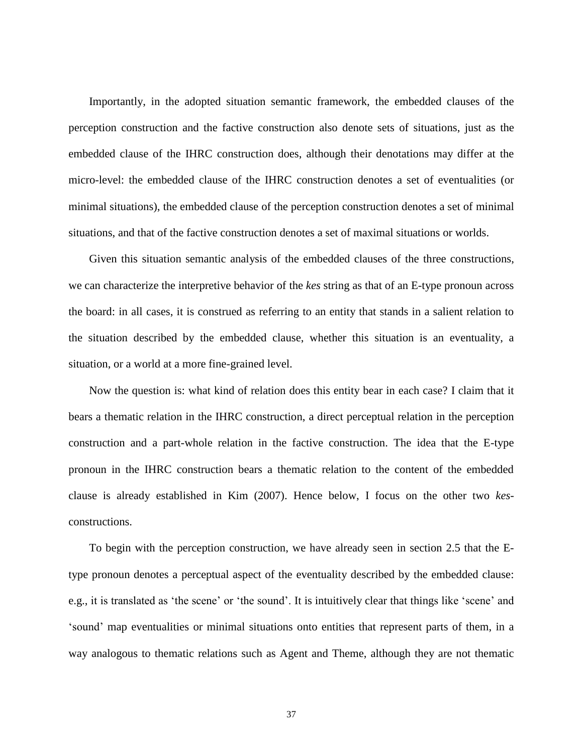Importantly, in the adopted situation semantic framework, the embedded clauses of the perception construction and the factive construction also denote sets of situations, just as the embedded clause of the IHRC construction does, although their denotations may differ at the micro-level: the embedded clause of the IHRC construction denotes a set of eventualities (or minimal situations), the embedded clause of the perception construction denotes a set of minimal situations, and that of the factive construction denotes a set of maximal situations or worlds.

Given this situation semantic analysis of the embedded clauses of the three constructions, we can characterize the interpretive behavior of the *kes* string as that of an E-type pronoun across the board: in all cases, it is construed as referring to an entity that stands in a salient relation to the situation described by the embedded clause, whether this situation is an eventuality, a situation, or a world at a more fine-grained level.

Now the question is: what kind of relation does this entity bear in each case? I claim that it bears a thematic relation in the IHRC construction, a direct perceptual relation in the perception construction and a part-whole relation in the factive construction. The idea that the E-type pronoun in the IHRC construction bears a thematic relation to the content of the embedded clause is already established in Kim (2007). Hence below, I focus on the other two *kes*constructions.

To begin with the perception construction, we have already seen in section 2.5 that the Etype pronoun denotes a perceptual aspect of the eventuality described by the embedded clause: e.g., it is translated as 'the scene' or 'the sound'. It is intuitively clear that things like 'scene' and 'sound' map eventualities or minimal situations onto entities that represent parts of them, in a way analogous to thematic relations such as Agent and Theme, although they are not thematic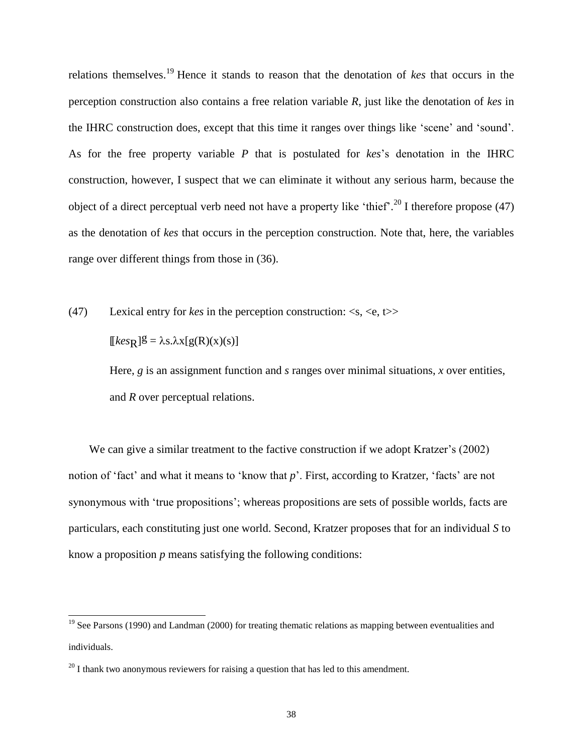relations themselves. <sup>19</sup> Hence it stands to reason that the denotation of *kes* that occurs in the perception construction also contains a free relation variable *R*, just like the denotation of *kes* in the IHRC construction does, except that this time it ranges over things like 'scene' and 'sound'. As for the free property variable *P* that is postulated for *kes*'s denotation in the IHRC construction, however, I suspect that we can eliminate it without any serious harm, because the object of a direct perceptual verb need not have a property like 'thief'.<sup>20</sup> I therefore propose (47) as the denotation of *kes* that occurs in the perception construction. Note that, here, the variables range over different things from those in (36).

(47) Lexical entry for *kes* in the perception construction: <s, <e, t>>

 $[kes_R]$  $\mathcal{g} = \lambda s.\lambda x[g(R)(x)(s)]$ 

 $\overline{a}$ 

Here, *g* is an assignment function and *s* ranges over minimal situations, *x* over entities, and *R* over perceptual relations.

We can give a similar treatment to the factive construction if we adopt Kratzer's (2002) notion of 'fact' and what it means to 'know that *p*'. First, according to Kratzer, 'facts' are not synonymous with 'true propositions'; whereas propositions are sets of possible worlds, facts are particulars, each constituting just one world. Second, Kratzer proposes that for an individual *S* to know a proposition *p* means satisfying the following conditions:

<sup>&</sup>lt;sup>19</sup> See Parsons (1990) and Landman (2000) for treating thematic relations as mapping between eventualities and individuals.

 $20$  I thank two anonymous reviewers for raising a question that has led to this amendment.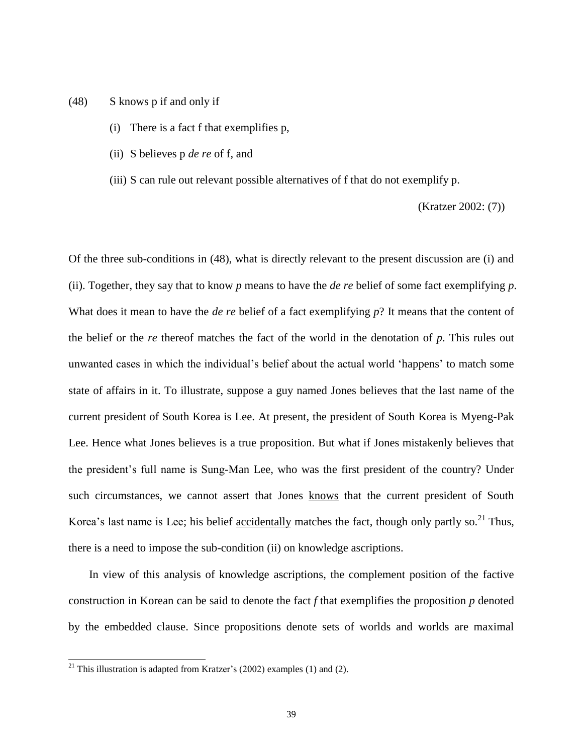- (48) S knows p if and only if
	- (i) There is a fact f that exemplifies p,
	- (ii) S believes p *de re* of f, and
	- (iii) S can rule out relevant possible alternatives of f that do not exemplify p.

(Kratzer 2002: (7))

Of the three sub-conditions in (48), what is directly relevant to the present discussion are (i) and (ii). Together, they say that to know *p* means to have the *de re* belief of some fact exemplifying *p*. What does it mean to have the *de re* belief of a fact exemplifying *p*? It means that the content of the belief or the *re* thereof matches the fact of the world in the denotation of *p*. This rules out unwanted cases in which the individual's belief about the actual world 'happens' to match some state of affairs in it. To illustrate, suppose a guy named Jones believes that the last name of the current president of South Korea is Lee. At present, the president of South Korea is Myeng-Pak Lee. Hence what Jones believes is a true proposition. But what if Jones mistakenly believes that the president's full name is Sung-Man Lee, who was the first president of the country? Under such circumstances, we cannot assert that Jones knows that the current president of South Korea's last name is Lee; his belief accidentally matches the fact, though only partly so.<sup>21</sup> Thus, there is a need to impose the sub-condition (ii) on knowledge ascriptions.

In view of this analysis of knowledge ascriptions, the complement position of the factive construction in Korean can be said to denote the fact *f* that exemplifies the proposition *p* denoted by the embedded clause. Since propositions denote sets of worlds and worlds are maximal

<sup>&</sup>lt;sup>21</sup> This illustration is adapted from Kratzer's (2002) examples (1) and (2).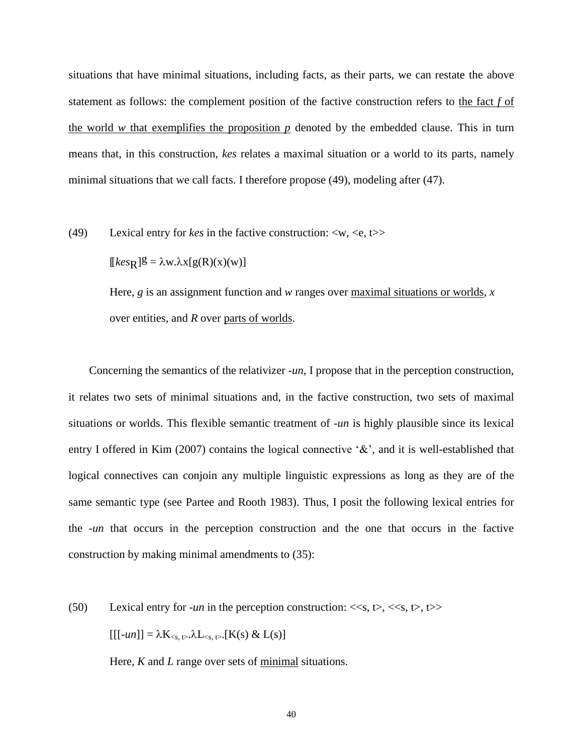situations that have minimal situations, including facts, as their parts, we can restate the above statement as follows: the complement position of the factive construction refers to the fact *f* of the world  $w$  that exemplifies the proposition  $p$  denoted by the embedded clause. This in turn means that, in this construction, *kes* relates a maximal situation or a world to its parts, namely minimal situations that we call facts. I therefore propose (49), modeling after (47).

(49) Lexical entry for *kes* in the factive construction: <w, <e, t>>

 $[kes_R]$ g =  $\lambda w.\lambda x[g(R)(x)(w)]$ 

Here, *g* is an assignment function and *w* ranges over maximal situations or worlds, *x* over entities, and *R* over parts of worlds.

Concerning the semantics of the relativizer -*un*, I propose that in the perception construction, it relates two sets of minimal situations and, in the factive construction, two sets of maximal situations or worlds. This flexible semantic treatment of -*un* is highly plausible since its lexical entry I offered in Kim (2007) contains the logical connective  $\&\hat{\mathbf{x}}$ , and it is well-established that logical connectives can conjoin any multiple linguistic expressions as long as they are of the same semantic type (see Partee and Rooth 1983). Thus, I posit the following lexical entries for the -*un* that occurs in the perception construction and the one that occurs in the factive construction by making minimal amendments to (35):

(50) Lexical entry for *-un* in the perception construction:  $\langle \langle s, t \rangle, \langle \langle s, t \rangle, t \rangle$  $[[[-un]] = \lambda K_{\leq s, t>} \lambda L_{\leq s, t>}$ .[K(s) & L(s)]

Here, *K* and *L* range over sets of minimal situations.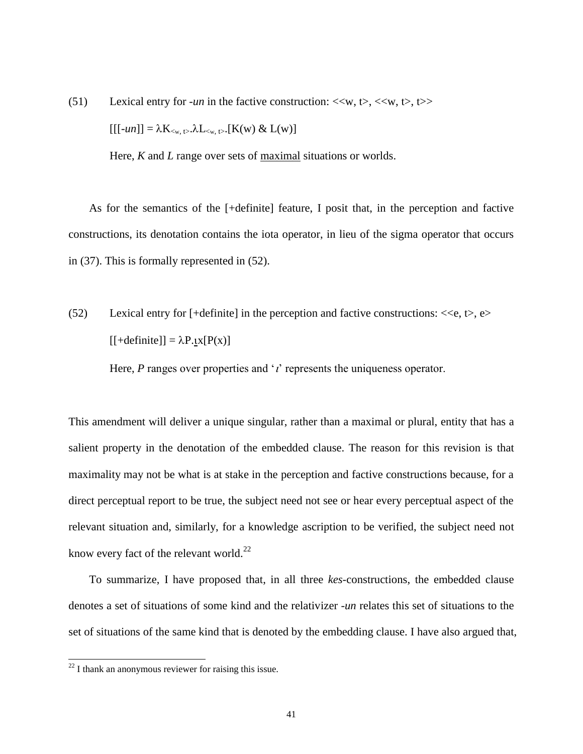(51) Lexical entry for *-un* in the factive construction:  $\langle\langle w, t\rangle, \langle\langle w, t\rangle, t\rangle$ 

 $[[[-un]] = \lambda K_{\leq w, t>} \lambda L_{\leq w, t>} [K(w) \& L(w)]$ 

Here, *K* and *L* range over sets of maximal situations or worlds.

As for the semantics of the [+definite] feature, I posit that, in the perception and factive constructions, its denotation contains the iota operator, in lieu of the sigma operator that occurs in (37). This is formally represented in (52).

(52) Lexical entry for  $[+definite]$  in the perception and factive constructions:  $<, e>$  $[$  + definite]] =  $\lambda$ P.tx[P(x)]

Here,  $P$  ranges over properties and  $\gamma$  represents the uniqueness operator.

This amendment will deliver a unique singular, rather than a maximal or plural, entity that has a salient property in the denotation of the embedded clause. The reason for this revision is that maximality may not be what is at stake in the perception and factive constructions because, for a direct perceptual report to be true, the subject need not see or hear every perceptual aspect of the relevant situation and, similarly, for a knowledge ascription to be verified, the subject need not know every fact of the relevant world.<sup>22</sup>

To summarize, I have proposed that, in all three *kes*-constructions, the embedded clause denotes a set of situations of some kind and the relativizer -*un* relates this set of situations to the set of situations of the same kind that is denoted by the embedding clause. I have also argued that,

 $22$  I thank an anonymous reviewer for raising this issue.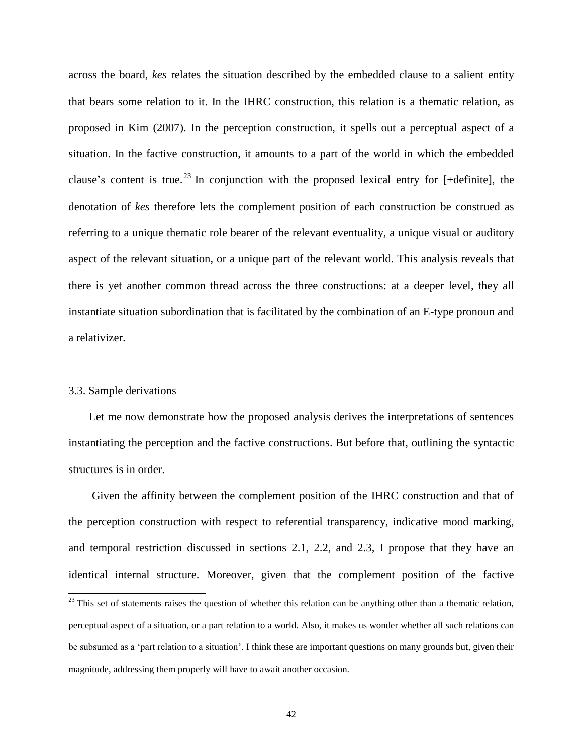across the board, *kes* relates the situation described by the embedded clause to a salient entity that bears some relation to it. In the IHRC construction, this relation is a thematic relation, as proposed in Kim (2007). In the perception construction, it spells out a perceptual aspect of a situation. In the factive construction, it amounts to a part of the world in which the embedded clause's content is true.<sup>23</sup> In conjunction with the proposed lexical entry for [+definite], the denotation of *kes* therefore lets the complement position of each construction be construed as referring to a unique thematic role bearer of the relevant eventuality, a unique visual or auditory aspect of the relevant situation, or a unique part of the relevant world. This analysis reveals that there is yet another common thread across the three constructions: at a deeper level, they all instantiate situation subordination that is facilitated by the combination of an E-type pronoun and a relativizer.

#### 3.3. Sample derivations

 $\overline{a}$ 

Let me now demonstrate how the proposed analysis derives the interpretations of sentences instantiating the perception and the factive constructions. But before that, outlining the syntactic structures is in order.

Given the affinity between the complement position of the IHRC construction and that of the perception construction with respect to referential transparency, indicative mood marking, and temporal restriction discussed in sections 2.1, 2.2, and 2.3, I propose that they have an identical internal structure. Moreover, given that the complement position of the factive

 $^{23}$  This set of statements raises the question of whether this relation can be anything other than a thematic relation, perceptual aspect of a situation, or a part relation to a world. Also, it makes us wonder whether all such relations can be subsumed as a 'part relation to a situation'. I think these are important questions on many grounds but, given their magnitude, addressing them properly will have to await another occasion.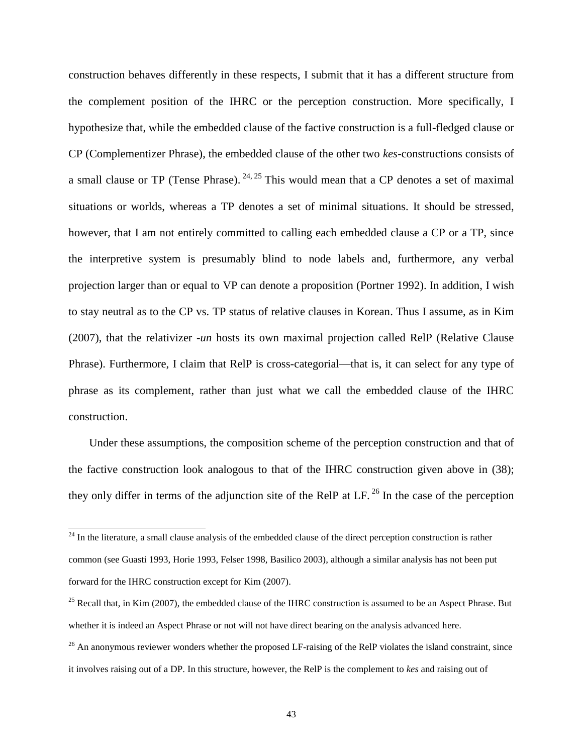construction behaves differently in these respects, I submit that it has a different structure from the complement position of the IHRC or the perception construction. More specifically, I hypothesize that, while the embedded clause of the factive construction is a full-fledged clause or CP (Complementizer Phrase), the embedded clause of the other two *kes*-constructions consists of a small clause or TP (Tense Phrase).  $24, 25$  This would mean that a CP denotes a set of maximal situations or worlds, whereas a TP denotes a set of minimal situations. It should be stressed, however, that I am not entirely committed to calling each embedded clause a CP or a TP, since the interpretive system is presumably blind to node labels and, furthermore, any verbal projection larger than or equal to VP can denote a proposition (Portner 1992). In addition, I wish to stay neutral as to the CP vs. TP status of relative clauses in Korean. Thus I assume, as in Kim (2007), that the relativizer -*un* hosts its own maximal projection called RelP (Relative Clause Phrase). Furthermore, I claim that RelP is cross-categorial—that is, it can select for any type of phrase as its complement, rather than just what we call the embedded clause of the IHRC construction.

Under these assumptions, the composition scheme of the perception construction and that of the factive construction look analogous to that of the IHRC construction given above in (38); they only differ in terms of the adjunction site of the RelP at LF.  $^{26}$  In the case of the perception

 $24$  In the literature, a small clause analysis of the embedded clause of the direct perception construction is rather common (see Guasti 1993, Horie 1993, Felser 1998, Basilico 2003), although a similar analysis has not been put forward for the IHRC construction except for Kim (2007).

 $^{25}$  Recall that, in Kim (2007), the embedded clause of the IHRC construction is assumed to be an Aspect Phrase. But whether it is indeed an Aspect Phrase or not will not have direct bearing on the analysis advanced here.

 $26$  An anonymous reviewer wonders whether the proposed LF-raising of the RelP violates the island constraint, since it involves raising out of a DP. In this structure, however, the RelP is the complement to *kes* and raising out of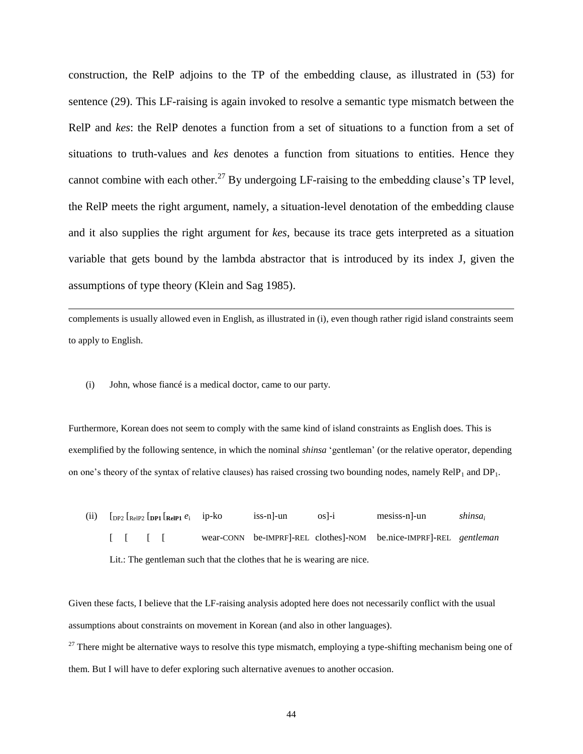construction, the RelP adjoins to the TP of the embedding clause, as illustrated in (53) for sentence (29). This LF-raising is again invoked to resolve a semantic type mismatch between the RelP and *kes*: the RelP denotes a function from a set of situations to a function from a set of situations to truth-values and *kes* denotes a function from situations to entities. Hence they cannot combine with each other.<sup>27</sup> By undergoing LF-raising to the embedding clause's TP level, the RelP meets the right argument, namely, a situation-level denotation of the embedding clause and it also supplies the right argument for *kes*, because its trace gets interpreted as a situation variable that gets bound by the lambda abstractor that is introduced by its index J, given the assumptions of type theory (Klein and Sag 1985).

complements is usually allowed even in English, as illustrated in (i), even though rather rigid island constraints seem to apply to English.

(i) John, whose fiancé is a medical doctor, came to our party.

 $\overline{a}$ 

Furthermore, Korean does not seem to comply with the same kind of island constraints as English does. This is exemplified by the following sentence, in which the nominal *shinsa* 'gentleman' (or the relative operator, depending on one's theory of the syntax of relative clauses) has raised crossing two bounding nodes, namely  $\text{RelP}_1$  and  $\text{DP}_1$ .

(ii)  $\left[\text{DP2} \left[\text{ReIP2} \left[\text{DP1} \left[\text{ReIP1} e_i\right]\right]\right]\right)\right]$  ip-ko iss-n]-un os]-i mesiss-n]-un *shinsa<sup>i</sup>* [ [ [ [ wear-CONN be-IMPRF]-REL clothes]-NOM be.nice-IMPRF]-REL *gentleman* Lit.: The gentleman such that the clothes that he is wearing are nice.

Given these facts, I believe that the LF-raising analysis adopted here does not necessarily conflict with the usual assumptions about constraints on movement in Korean (and also in other languages).

 $27$  There might be alternative ways to resolve this type mismatch, employing a type-shifting mechanism being one of them. But I will have to defer exploring such alternative avenues to another occasion.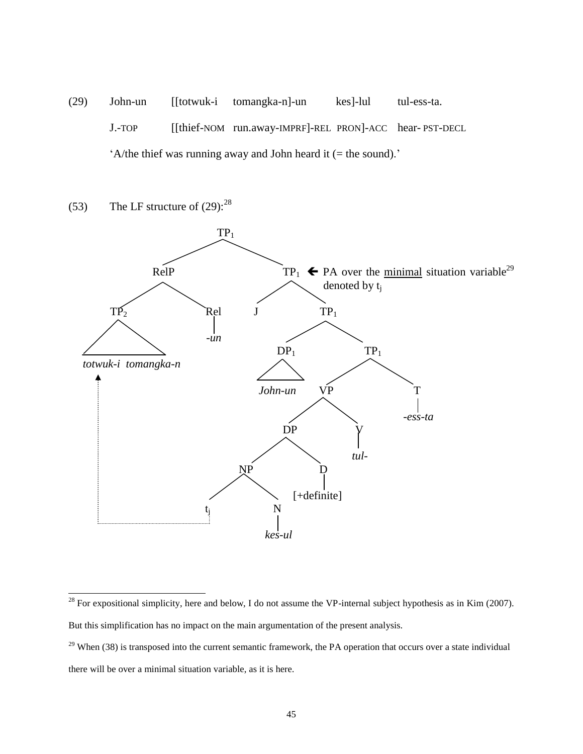- (29) John-un [[totwuk-i tomangka-n]-un kes]-lul tul-ess-ta. J.-TOP [[thief-NOM run.away-IMPRF]-REL PRON]-ACC hear- PST-DECL 'A/the thief was running away and John heard it  $($  = the sound).'
- (53) The LF structure of  $(29)$ :  $^{28}$



<sup>&</sup>lt;sup>28</sup> For expositional simplicity, here and below, I do not assume the VP-internal subject hypothesis as in Kim (2007). But this simplification has no impact on the main argumentation of the present analysis.

 $29$  When (38) is transposed into the current semantic framework, the PA operation that occurs over a state individual there will be over a minimal situation variable, as it is here.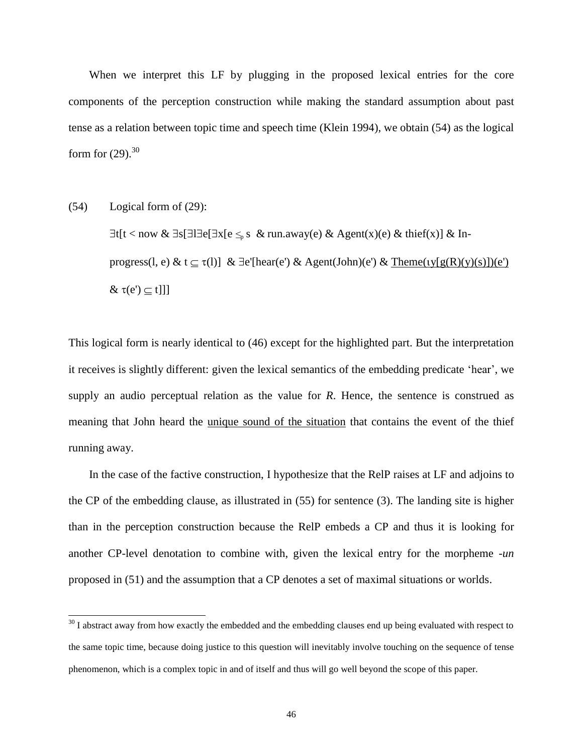When we interpret this LF by plugging in the proposed lexical entries for the core components of the perception construction while making the standard assumption about past tense as a relation between topic time and speech time (Klein 1994), we obtain (54) as the logical form for  $(29)$ .<sup>30</sup>

(54) Logical form of (29):

 $\overline{a}$ 

 $\exists t[t < now \& \exists s[\exists \exists e[\exists x[e \leq_{p} s \& run.away(e) \& Agent(x)(e) \& third(x)] \& In-$ progress(l, e) & t  $\subseteq \tau(l)$ ] &  $\exists e'[hear(e') \& Agent(John)(e') \& Then (ty[g(R)(y)(s)])(e')$  $\& \tau(e') \subseteq t$ ]]

This logical form is nearly identical to (46) except for the highlighted part. But the interpretation it receives is slightly different: given the lexical semantics of the embedding predicate 'hear', we supply an audio perceptual relation as the value for *R*. Hence, the sentence is construed as meaning that John heard the unique sound of the situation that contains the event of the thief running away.

In the case of the factive construction, I hypothesize that the RelP raises at LF and adjoins to the CP of the embedding clause, as illustrated in (55) for sentence (3). The landing site is higher than in the perception construction because the RelP embeds a CP and thus it is looking for another CP-level denotation to combine with, given the lexical entry for the morpheme -*un* proposed in (51) and the assumption that a CP denotes a set of maximal situations or worlds.

 $30$  I abstract away from how exactly the embedded and the embedding clauses end up being evaluated with respect to the same topic time, because doing justice to this question will inevitably involve touching on the sequence of tense phenomenon, which is a complex topic in and of itself and thus will go well beyond the scope of this paper.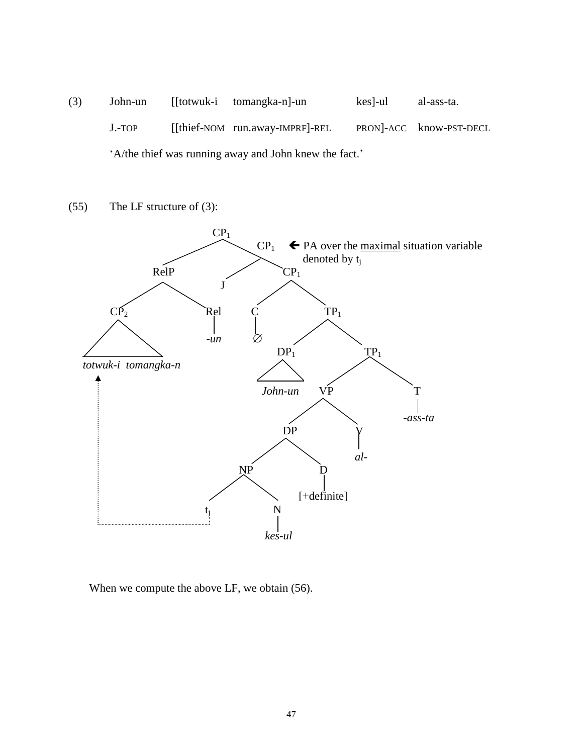(3) John-un [[totwuk-i tomangka-n]-un kes]-ul al-ass-ta. J.-TOP [[thief-NOM run.away-IMPRF]-REL PRON]-ACC know-PST-DECL 'A/the thief was running away and John knew the fact.'

(55) The LF structure of (3):



When we compute the above LF, we obtain (56).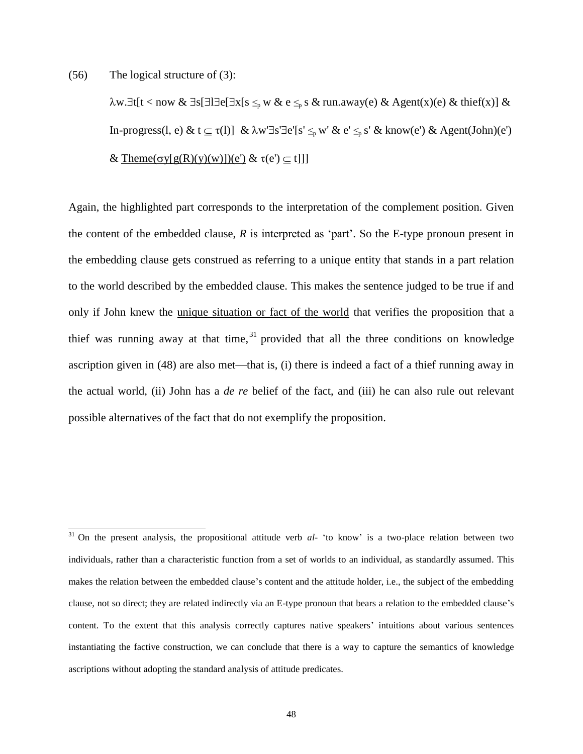(56) The logical structure of (3):

 $\overline{a}$ 

w.t[t < now & s[le[x[s *≤*<sup>p</sup> w & e *≤*<sup>p</sup> s & run.away(e) & Agent(x)(e) & thief(x)] & In-progress(l, e) & t  $\subseteq \tau(l)$ ] &  $\lambda w' \exists s' \exists e'[s' \leq_{p} w' \& e' \leq_{p} s' \& \text{know}(e') \& \text{Agent}(John)(e')$ & Theme( $\sigma y[g(R)(y)(w)]$ )(e') &  $\tau(e') \subseteq t$ ]]

Again, the highlighted part corresponds to the interpretation of the complement position. Given the content of the embedded clause, *R* is interpreted as 'part'. So the E-type pronoun present in the embedding clause gets construed as referring to a unique entity that stands in a part relation to the world described by the embedded clause. This makes the sentence judged to be true if and only if John knew the unique situation or fact of the world that verifies the proposition that a thief was running away at that time,  $31$  provided that all the three conditions on knowledge ascription given in (48) are also met—that is, (i) there is indeed a fact of a thief running away in the actual world, (ii) John has a *de re* belief of the fact, and (iii) he can also rule out relevant possible alternatives of the fact that do not exemplify the proposition.

<sup>&</sup>lt;sup>31</sup> On the present analysis, the propositional attitude verb *al*- 'to know' is a two-place relation between two individuals, rather than a characteristic function from a set of worlds to an individual, as standardly assumed. This makes the relation between the embedded clause's content and the attitude holder, i.e., the subject of the embedding clause, not so direct; they are related indirectly via an E-type pronoun that bears a relation to the embedded clause's content. To the extent that this analysis correctly captures native speakers' intuitions about various sentences instantiating the factive construction, we can conclude that there is a way to capture the semantics of knowledge ascriptions without adopting the standard analysis of attitude predicates.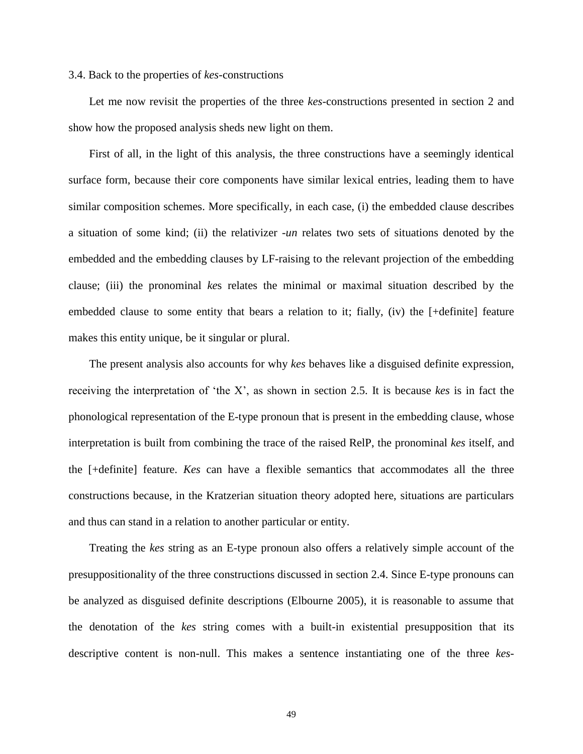#### 3.4. Back to the properties of *kes*-constructions

Let me now revisit the properties of the three *kes*-constructions presented in section 2 and show how the proposed analysis sheds new light on them.

First of all, in the light of this analysis, the three constructions have a seemingly identical surface form, because their core components have similar lexical entries, leading them to have similar composition schemes. More specifically, in each case, (i) the embedded clause describes a situation of some kind; (ii) the relativizer -*un* relates two sets of situations denoted by the embedded and the embedding clauses by LF-raising to the relevant projection of the embedding clause; (iii) the pronominal *ke*s relates the minimal or maximal situation described by the embedded clause to some entity that bears a relation to it; fially, (iv) the [+definite] feature makes this entity unique, be it singular or plural.

The present analysis also accounts for why *kes* behaves like a disguised definite expression, receiving the interpretation of 'the X', as shown in section 2.5. It is because *kes* is in fact the phonological representation of the E-type pronoun that is present in the embedding clause, whose interpretation is built from combining the trace of the raised RelP, the pronominal *kes* itself, and the [+definite] feature. *Kes* can have a flexible semantics that accommodates all the three constructions because, in the Kratzerian situation theory adopted here, situations are particulars and thus can stand in a relation to another particular or entity.

Treating the *kes* string as an E-type pronoun also offers a relatively simple account of the presuppositionality of the three constructions discussed in section 2.4. Since E-type pronouns can be analyzed as disguised definite descriptions (Elbourne 2005), it is reasonable to assume that the denotation of the *kes* string comes with a built-in existential presupposition that its descriptive content is non-null. This makes a sentence instantiating one of the three *kes*-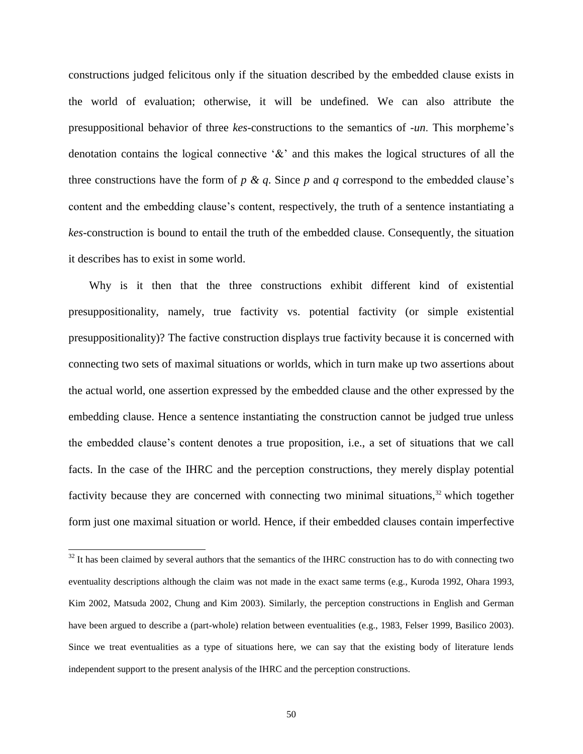constructions judged felicitous only if the situation described by the embedded clause exists in the world of evaluation; otherwise, it will be undefined. We can also attribute the presuppositional behavior of three *kes*-constructions to the semantics of -*un*. This morpheme's denotation contains the logical connective  $\&$  and this makes the logical structures of all the three constructions have the form of  $p \& q$ . Since  $p$  and  $q$  correspond to the embedded clause's content and the embedding clause's content, respectively, the truth of a sentence instantiating a *kes*-construction is bound to entail the truth of the embedded clause. Consequently, the situation it describes has to exist in some world.

Why is it then that the three constructions exhibit different kind of existential presuppositionality, namely, true factivity vs. potential factivity (or simple existential presuppositionality)? The factive construction displays true factivity because it is concerned with connecting two sets of maximal situations or worlds, which in turn make up two assertions about the actual world, one assertion expressed by the embedded clause and the other expressed by the embedding clause. Hence a sentence instantiating the construction cannot be judged true unless the embedded clause's content denotes a true proposition, i.e., a set of situations that we call facts. In the case of the IHRC and the perception constructions, they merely display potential factivity because they are concerned with connecting two minimal situations, $32$  which together form just one maximal situation or world. Hence, if their embedded clauses contain imperfective

 $32$  It has been claimed by several authors that the semantics of the IHRC construction has to do with connecting two eventuality descriptions although the claim was not made in the exact same terms (e.g., Kuroda 1992, Ohara 1993, Kim 2002, Matsuda 2002, Chung and Kim 2003). Similarly, the perception constructions in English and German have been argued to describe a (part-whole) relation between eventualities (e.g., 1983, Felser 1999, Basilico 2003). Since we treat eventualities as a type of situations here, we can say that the existing body of literature lends independent support to the present analysis of the IHRC and the perception constructions.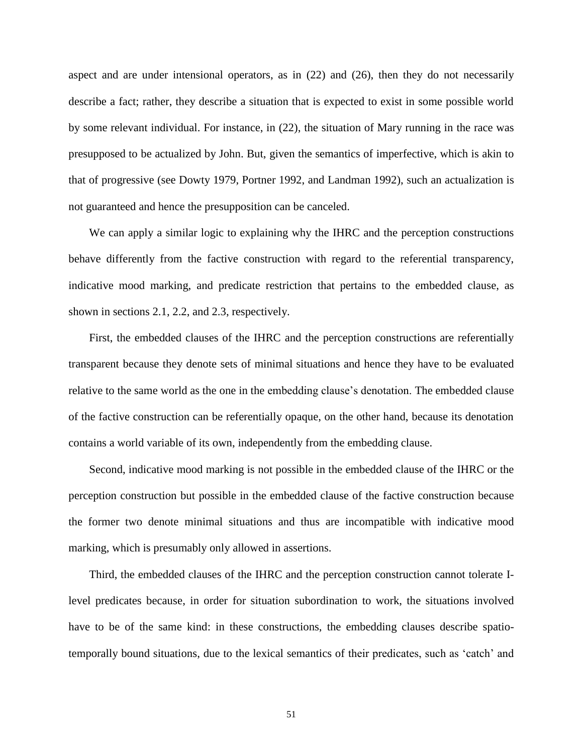aspect and are under intensional operators, as in (22) and (26), then they do not necessarily describe a fact; rather, they describe a situation that is expected to exist in some possible world by some relevant individual. For instance, in (22), the situation of Mary running in the race was presupposed to be actualized by John. But, given the semantics of imperfective, which is akin to that of progressive (see Dowty 1979, Portner 1992, and Landman 1992), such an actualization is not guaranteed and hence the presupposition can be canceled.

We can apply a similar logic to explaining why the IHRC and the perception constructions behave differently from the factive construction with regard to the referential transparency, indicative mood marking, and predicate restriction that pertains to the embedded clause, as shown in sections 2.1, 2.2, and 2.3, respectively.

First, the embedded clauses of the IHRC and the perception constructions are referentially transparent because they denote sets of minimal situations and hence they have to be evaluated relative to the same world as the one in the embedding clause's denotation. The embedded clause of the factive construction can be referentially opaque, on the other hand, because its denotation contains a world variable of its own, independently from the embedding clause.

Second, indicative mood marking is not possible in the embedded clause of the IHRC or the perception construction but possible in the embedded clause of the factive construction because the former two denote minimal situations and thus are incompatible with indicative mood marking, which is presumably only allowed in assertions.

Third, the embedded clauses of the IHRC and the perception construction cannot tolerate Ilevel predicates because, in order for situation subordination to work, the situations involved have to be of the same kind: in these constructions, the embedding clauses describe spatiotemporally bound situations, due to the lexical semantics of their predicates, such as 'catch' and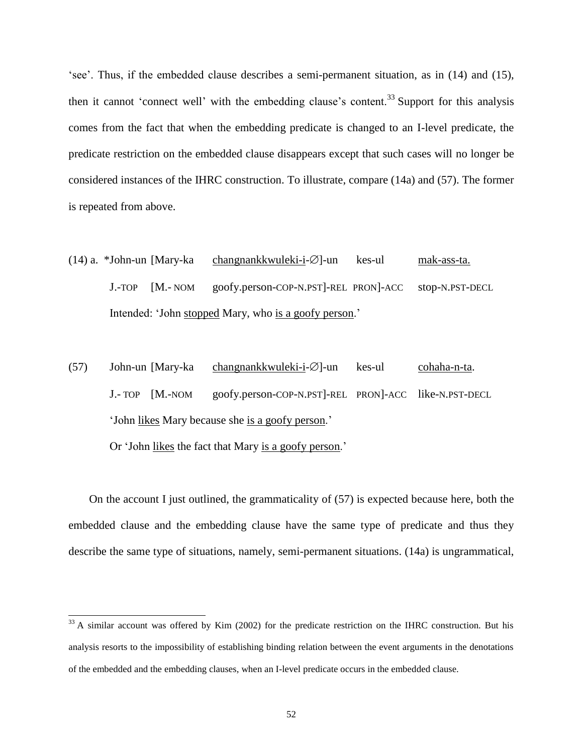'see'. Thus, if the embedded clause describes a semi-permanent situation, as in (14) and (15), then it cannot 'connect well' with the embedding clause's content.<sup>33</sup> Support for this analysis comes from the fact that when the embedding predicate is changed to an I-level predicate, the predicate restriction on the embedded clause disappears except that such cases will no longer be considered instances of the IHRC construction. To illustrate, compare (14a) and (57). The former is repeated from above.

- $(14)$  a. \*John-un [Mary-ka changnankkwuleki-i- $\varnothing$ ]-un kes-ul mak-ass-ta. J.-TOP [M.- NOM goofy.person-COP-N.PST]-REL PRON]-ACC stop-N.PST-DECL Intended: 'John stopped Mary, who is a goofy person.'
- $(57)$  John-un [Mary-ka changnankkwuleki-i- $\varnothing$ ]-un kes-ul cohaha-n-ta. J.- TOP [M.-NOM goofy.person-COP-N.PST]-REL PRON]-ACC like-N.PST-DECL 'John likes Mary because she is a goofy person.'

Or 'John likes the fact that Mary is a goofy person.'

 $\overline{a}$ 

On the account I just outlined, the grammaticality of (57) is expected because here, both the embedded clause and the embedding clause have the same type of predicate and thus they describe the same type of situations, namely, semi-permanent situations. (14a) is ungrammatical,

 $33$  A similar account was offered by Kim (2002) for the predicate restriction on the IHRC construction. But his analysis resorts to the impossibility of establishing binding relation between the event arguments in the denotations of the embedded and the embedding clauses, when an I-level predicate occurs in the embedded clause.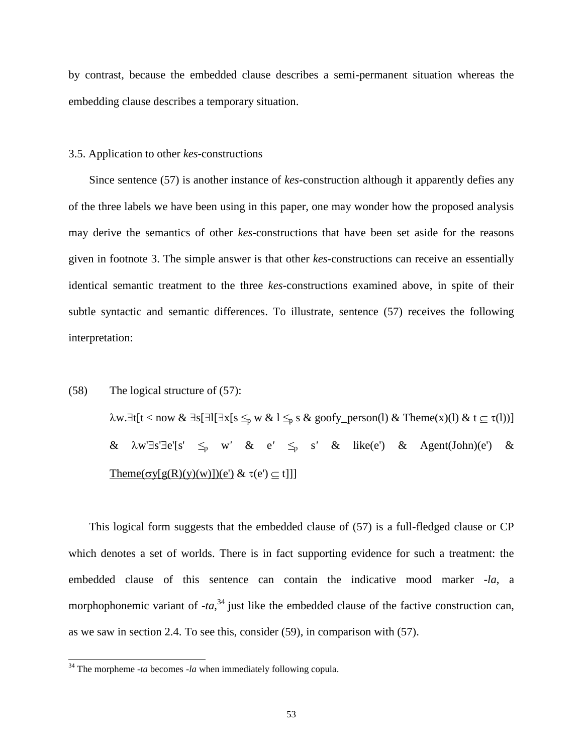by contrast, because the embedded clause describes a semi-permanent situation whereas the embedding clause describes a temporary situation.

## 3.5. Application to other *kes*-constructions

Since sentence (57) is another instance of *kes*-construction although it apparently defies any of the three labels we have been using in this paper, one may wonder how the proposed analysis may derive the semantics of other *kes*-constructions that have been set aside for the reasons given in footnote 3. The simple answer is that other *kes*-constructions can receive an essentially identical semantic treatment to the three *kes*-constructions examined above, in spite of their subtle syntactic and semantic differences. To illustrate, sentence (57) receives the following interpretation:

# (58) The logical structure of (57):  $\lambda$ w.∃t[t < now & ∃s[∃l[∃x[s  $\leq_p$  w & l  $\leq_p$  s & goofy\_person(l) & Theme(x)(l) & t  $\subseteq$  τ(l))]  $\&$   $\lambda w' \exists s' \exists e'[s' \leq p \ w' \ & e' \leq p \ s' \ & \&$  like(e')  $\&$  Agent(John)(e')  $\&$ Theme( $\sigma y[g(R)(y)(w)]$ )(e')  $\& \tau(e') \subseteq t$ ]]]

This logical form suggests that the embedded clause of (57) is a full-fledged clause or CP which denotes a set of worlds. There is in fact supporting evidence for such a treatment: the embedded clause of this sentence can contain the indicative mood marker -*la*, a morphophonemic variant of  $-ta$ ,<sup>34</sup> just like the embedded clause of the factive construction can, as we saw in section 2.4. To see this, consider (59), in comparison with (57).

 $34$ <sup>34</sup> The morpheme -*ta* becomes -*la* when immediately following copula.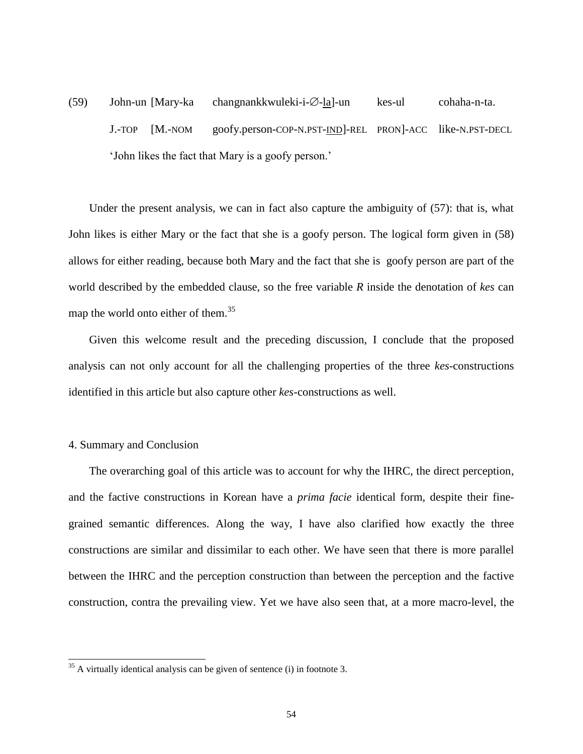$(59)$  John-un [Mary-ka changnankkwuleki-i- $\emptyset$ -la]-un kes-ul cohaha-n-ta. J.-TOP [M.-NOM goofy.person-COP-N.PST-IND]-REL PRON]-ACC like-N.PST-DECL 'John likes the fact that Mary is a goofy person.'

Under the present analysis, we can in fact also capture the ambiguity of (57): that is, what John likes is either Mary or the fact that she is a goofy person. The logical form given in (58) allows for either reading, because both Mary and the fact that she is goofy person are part of the world described by the embedded clause, so the free variable *R* inside the denotation of *kes* can map the world onto either of them.<sup>35</sup>

Given this welcome result and the preceding discussion, I conclude that the proposed analysis can not only account for all the challenging properties of the three *kes*-constructions identified in this article but also capture other *kes*-constructions as well.

## 4. Summary and Conclusion

 $\overline{a}$ 

The overarching goal of this article was to account for why the IHRC, the direct perception, and the factive constructions in Korean have a *prima facie* identical form, despite their finegrained semantic differences. Along the way, I have also clarified how exactly the three constructions are similar and dissimilar to each other. We have seen that there is more parallel between the IHRC and the perception construction than between the perception and the factive construction, contra the prevailing view. Yet we have also seen that, at a more macro-level, the

 $35$  A virtually identical analysis can be given of sentence (i) in footnote 3.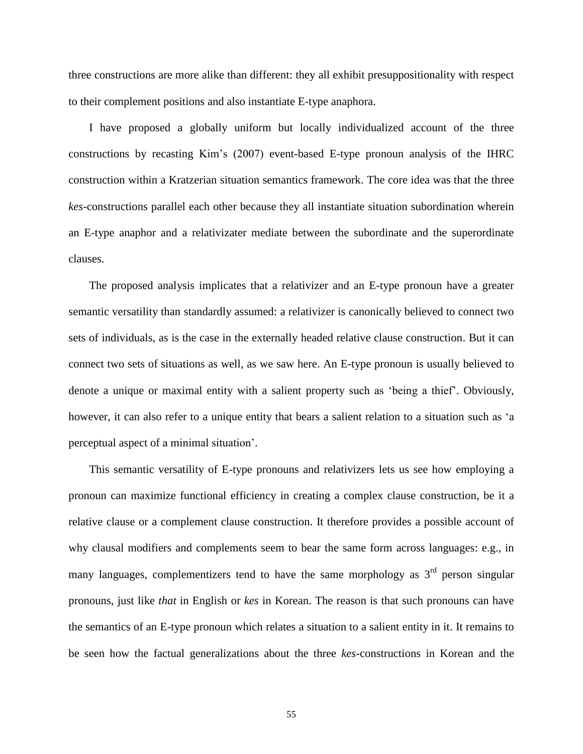three constructions are more alike than different: they all exhibit presuppositionality with respect to their complement positions and also instantiate E-type anaphora.

I have proposed a globally uniform but locally individualized account of the three constructions by recasting Kim's (2007) event-based E-type pronoun analysis of the IHRC construction within a Kratzerian situation semantics framework. The core idea was that the three *kes*-constructions parallel each other because they all instantiate situation subordination wherein an E-type anaphor and a relativizater mediate between the subordinate and the superordinate clauses.

The proposed analysis implicates that a relativizer and an E-type pronoun have a greater semantic versatility than standardly assumed: a relativizer is canonically believed to connect two sets of individuals, as is the case in the externally headed relative clause construction. But it can connect two sets of situations as well, as we saw here. An E-type pronoun is usually believed to denote a unique or maximal entity with a salient property such as 'being a thief'. Obviously, however, it can also refer to a unique entity that bears a salient relation to a situation such as 'a perceptual aspect of a minimal situation'.

This semantic versatility of E-type pronouns and relativizers lets us see how employing a pronoun can maximize functional efficiency in creating a complex clause construction, be it a relative clause or a complement clause construction. It therefore provides a possible account of why clausal modifiers and complements seem to bear the same form across languages: e.g., in many languages, complementizers tend to have the same morphology as  $3<sup>rd</sup>$  person singular pronouns, just like *that* in English or *kes* in Korean. The reason is that such pronouns can have the semantics of an E-type pronoun which relates a situation to a salient entity in it. It remains to be seen how the factual generalizations about the three *kes*-constructions in Korean and the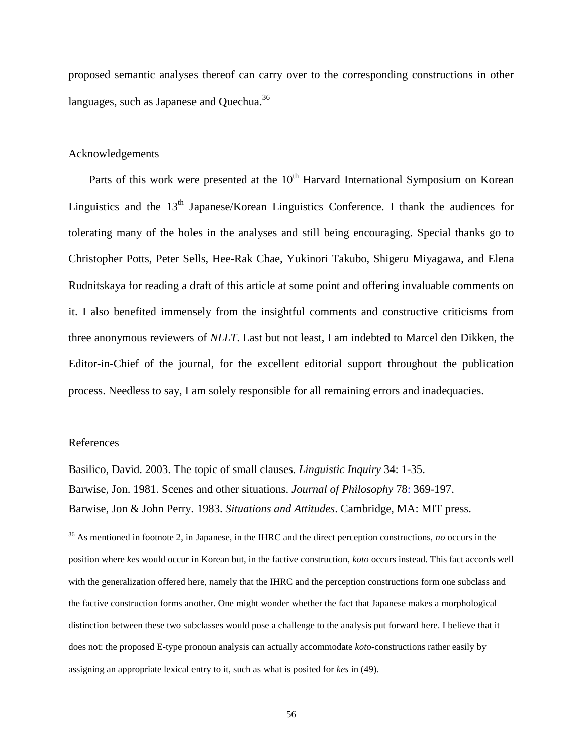proposed semantic analyses thereof can carry over to the corresponding constructions in other languages, such as Japanese and Quechua.<sup>36</sup>

## Acknowledgements

Parts of this work were presented at the  $10<sup>th</sup>$  Harvard International Symposium on Korean Linguistics and the  $13<sup>th</sup>$  Japanese/Korean Linguistics Conference. I thank the audiences for tolerating many of the holes in the analyses and still being encouraging. Special thanks go to Christopher Potts, Peter Sells, Hee-Rak Chae, Yukinori Takubo, Shigeru Miyagawa, and Elena Rudnitskaya for reading a draft of this article at some point and offering invaluable comments on it. I also benefited immensely from the insightful comments and constructive criticisms from three anonymous reviewers of *NLLT*. Last but not least, I am indebted to Marcel den Dikken, the Editor-in-Chief of the journal, for the excellent editorial support throughout the publication process. Needless to say, I am solely responsible for all remaining errors and inadequacies.

#### References

 $\overline{a}$ 

Basilico, David. 2003. The topic of small clauses. *Linguistic Inquiry* 34: 1-35. Barwise, Jon. 1981. Scenes and other situations. *Journal of Philosophy* 78: 369-197. Barwise, Jon & John Perry. 1983. *Situations and Attitudes*. Cambridge, MA: MIT press.

<sup>36</sup> As mentioned in footnote 2, in Japanese, in the IHRC and the direct perception constructions, *no* occurs in the position where *kes* would occur in Korean but, in the factive construction, *koto* occurs instead. This fact accords well with the generalization offered here, namely that the IHRC and the perception constructions form one subclass and the factive construction forms another. One might wonder whether the fact that Japanese makes a morphological distinction between these two subclasses would pose a challenge to the analysis put forward here. I believe that it does not: the proposed E-type pronoun analysis can actually accommodate *koto*-constructions rather easily by assigning an appropriate lexical entry to it, such as what is posited for *kes* in (49).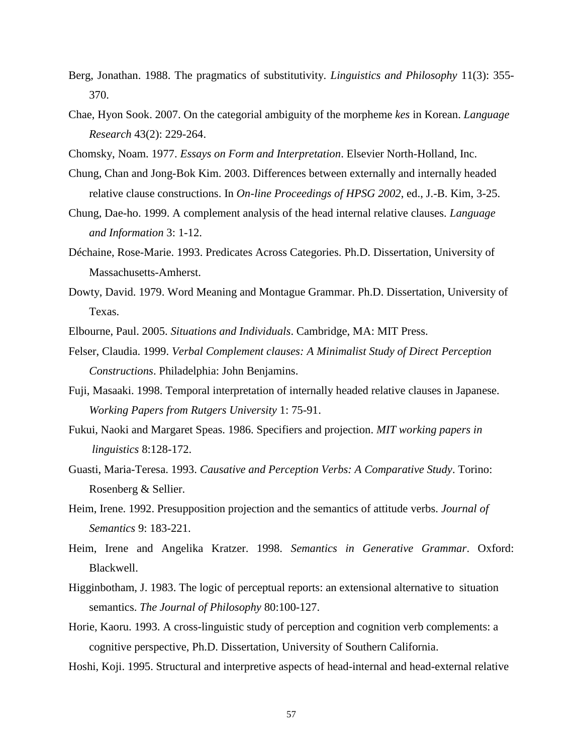- Berg, Jonathan. 1988. The pragmatics of substitutivity. *Linguistics and Philosophy* 11(3): 355- 370.
- Chae, Hyon Sook. 2007. On the categorial ambiguity of the morpheme *kes* in Korean. *Language Research* 43(2): 229-264.
- Chomsky, Noam. 1977. *Essays on Form and Interpretation*. Elsevier North-Holland, Inc.
- Chung, Chan and Jong-Bok Kim. 2003. Differences between externally and internally headed relative clause constructions. In *On-line Proceedings of HPSG 2002*, ed., J.-B. Kim, 3-25.
- Chung, Dae-ho. 1999. A complement analysis of the head internal relative clauses. *Language and Information* 3: 1-12.
- Déchaine, Rose-Marie. 1993. Predicates Across Categories. Ph.D. Dissertation, University of Massachusetts-Amherst.
- Dowty, David. 1979. Word Meaning and Montague Grammar. Ph.D. Dissertation, University of Texas.

Elbourne, Paul. 2005. *Situations and Individuals*. Cambridge, MA: MIT Press.

- Felser, Claudia. 1999. *Verbal Complement clauses: A Minimalist Study of Direct Perception Constructions*. Philadelphia: John Benjamins.
- Fuji, Masaaki. 1998. Temporal interpretation of internally headed relative clauses in Japanese. *Working Papers from Rutgers University* 1: 75-91.
- Fukui, Naoki and Margaret Speas. 1986. Specifiers and projection. *MIT working papers in linguistics* 8:128-172.
- Guasti, Maria-Teresa. 1993. *Causative and Perception Verbs: A Comparative Study*. Torino: Rosenberg & Sellier.
- Heim, Irene. 1992. Presupposition projection and the semantics of attitude verbs. *Journal of Semantics* 9: 183-221.
- Heim, Irene and Angelika Kratzer. 1998. *Semantics in Generative Grammar*. Oxford: Blackwell.
- Higginbotham, J. 1983. The logic of perceptual reports: an extensional alternative to situation semantics. *The Journal of Philosophy* 80:100-127.
- Horie, Kaoru. 1993. A cross-linguistic study of perception and cognition verb complements: a cognitive perspective, Ph.D. Dissertation, University of Southern California.
- Hoshi, Koji. 1995. Structural and interpretive aspects of head-internal and head-external relative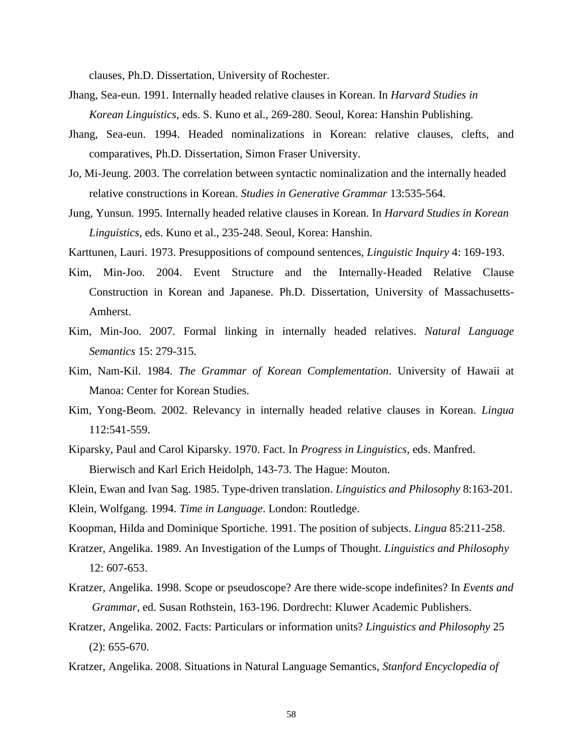clauses, Ph.D. Dissertation, University of Rochester.

- Jhang, Sea-eun. 1991. Internally headed relative clauses in Korean. In *Harvard Studies in Korean Linguistics*, eds. S. Kuno et al., 269-280. Seoul, Korea: Hanshin Publishing.
- Jhang, Sea-eun. 1994. Headed nominalizations in Korean: relative clauses, clefts, and comparatives, Ph.D. Dissertation, Simon Fraser University.
- Jo, Mi-Jeung. 2003. The correlation between syntactic nominalization and the internally headed relative constructions in Korean. *Studies in Generative Grammar* 13:535-564.
- Jung, Yunsun. 1995. Internally headed relative clauses in Korean. In *Harvard Studies in Korean Linguistics*, eds. Kuno et al., 235-248. Seoul, Korea: Hanshin.

Karttunen, Lauri. 1973. Presuppositions of compound sentences, *Linguistic Inquiry* 4: 169-193.

- Kim, Min-Joo. 2004. Event Structure and the Internally-Headed Relative Clause Construction in Korean and Japanese. Ph.D. Dissertation, University of Massachusetts-Amherst.
- Kim, Min-Joo. 2007. Formal linking in internally headed relatives. *Natural Language Semantics* 15: 279-315.
- Kim, Nam-Kil. 1984. *The Grammar of Korean Complementation*. University of Hawaii at Manoa: Center for Korean Studies.
- Kim, Yong-Beom. 2002. Relevancy in internally headed relative clauses in Korean. *Lingua* 112:541-559.
- Kiparsky, Paul and Carol Kiparsky. 1970. Fact. In *Progress in Linguistics*, eds. Manfred. Bierwisch and Karl Erich Heidolph, 143-73. The Hague: Mouton.

Klein, Ewan and Ivan Sag. 1985. Type-driven translation. *Linguistics and Philosophy* 8:163-201.

Klein, Wolfgang. 1994. *Time in Language*. London: Routledge.

Koopman, Hilda and Dominique Sportiche. 1991. The position of subjects. *Lingua* 85:211-258.

- Kratzer, Angelika. 1989. An Investigation of the Lumps of Thought. *Linguistics and Philosophy*  12: 607-653.
- Kratzer, Angelika. 1998. Scope or pseudoscope? Are there wide-scope indefinites? In *Events and Grammar*, ed. Susan Rothstein, 163-196. Dordrecht: Kluwer Academic Publishers.
- Kratzer, Angelika. 2002. Facts: Particulars or information units? *Linguistics and Philosophy* 25 (2): 655-670.
- Kratzer, Angelika. 2008. Situations in Natural Language Semantics, *Stanford Encyclopedia of*